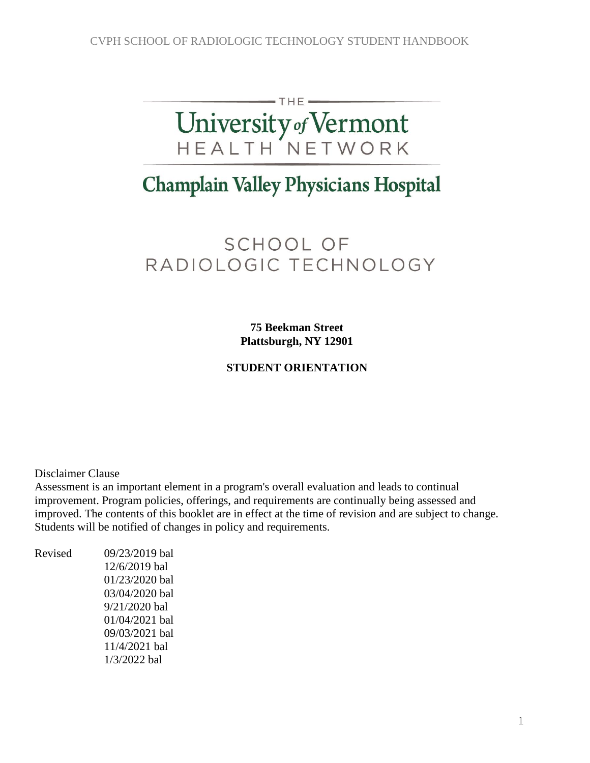# $-$  THE  $-$ University of Vermont **HEALTH NETWORK**

# **Champlain Valley Physicians Hospital**

# SCHOOL OF RADIOLOGIC TECHNOLOGY

**75 Beekman Street Plattsburgh, NY 12901**

**STUDENT ORIENTATION**

Disclaimer Clause

Assessment is an important element in a program's overall evaluation and leads to continual improvement. Program policies, offerings, and requirements are continually being assessed and improved. The contents of this booklet are in effect at the time of revision and are subject to change. Students will be notified of changes in policy and requirements.

Revised 09/23/2019 bal 12/6/2019 bal 01/23/2020 bal 03/04/2020 bal 9/21/2020 bal 01/04/2021 bal 09/03/2021 bal 11/4/2021 bal 1/3/2022 bal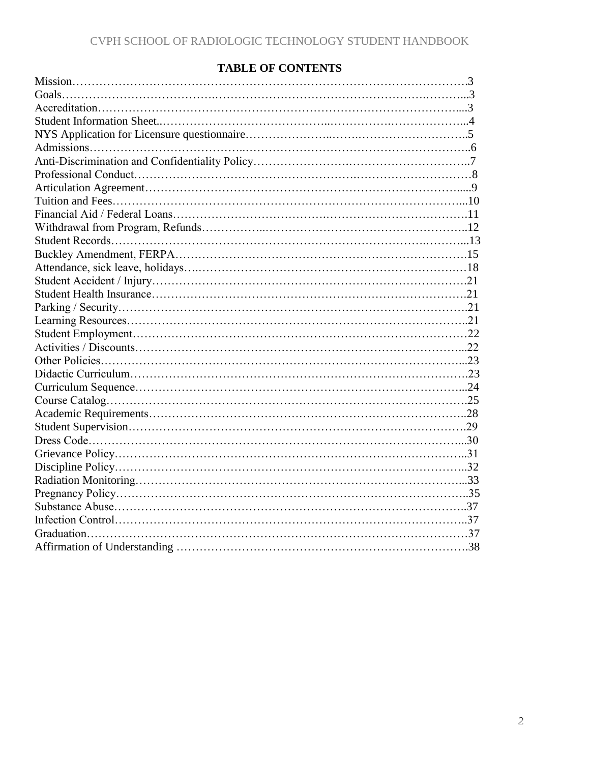## **TABLE OF CONTENTS**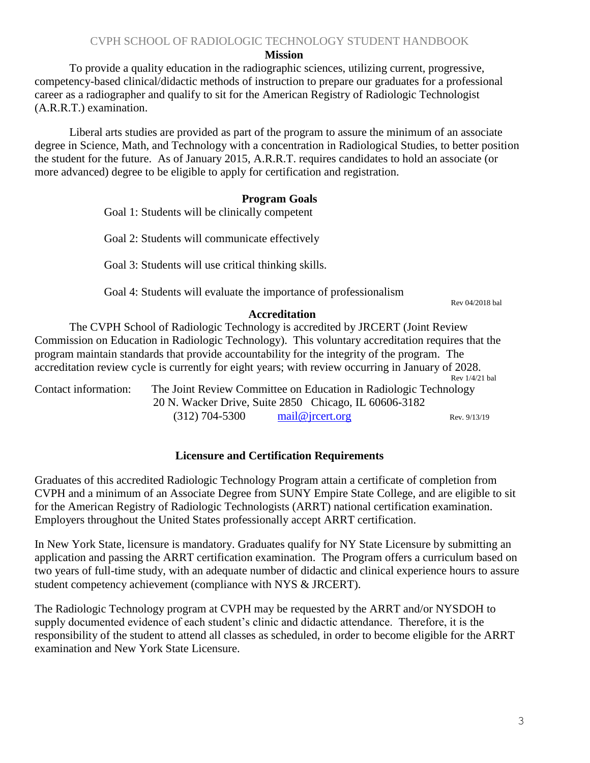#### **Mission**

To provide a quality education in the radiographic sciences, utilizing current, progressive, competency-based clinical/didactic methods of instruction to prepare our graduates for a professional career as a radiographer and qualify to sit for the American Registry of Radiologic Technologist (A.R.R.T.) examination.

Liberal arts studies are provided as part of the program to assure the minimum of an associate degree in Science, Math, and Technology with a concentration in Radiological Studies, to better position the student for the future. As of January 2015, A.R.R.T. requires candidates to hold an associate (or more advanced) degree to be eligible to apply for certification and registration.

#### **Program Goals**

Goal 1: Students will be clinically competent

Goal 2: Students will communicate effectively

Goal 3: Students will use critical thinking skills.

Goal 4: Students will evaluate the importance of professionalism

Rev 04/2018 bal

## **Accreditation**

The CVPH School of Radiologic Technology is accredited by JRCERT (Joint Review Commission on Education in Radiologic Technology). This voluntary accreditation requires that the program maintain standards that provide accountability for the integrity of the program. The accreditation review cycle is currently for eight years; with review occurring in January of 2028.<br>Rev 1/4/21 bal  $\sum$  Rev 1/4/21 bal Contact information: The Joint Review Committee on Education in Radiologic Technology

 20 N. Wacker Drive, Suite 2850 Chicago, IL 60606-3182  $(312)$  704-5300 [mail@jrcert.org](mailto:mail@jrcert.org) Rev. 9/13/19

#### **Licensure and Certification Requirements**

Graduates of this accredited Radiologic Technology Program attain a certificate of completion from CVPH and a minimum of an Associate Degree from SUNY Empire State College, and are eligible to sit for the American Registry of Radiologic Technologists (ARRT) national certification examination. Employers throughout the United States professionally accept ARRT certification.

In New York State, licensure is mandatory. Graduates qualify for NY State Licensure by submitting an application and passing the ARRT certification examination. The Program offers a curriculum based on two years of full-time study, with an adequate number of didactic and clinical experience hours to assure student competency achievement (compliance with NYS & JRCERT).

The Radiologic Technology program at CVPH may be requested by the ARRT and/or NYSDOH to supply documented evidence of each student's clinic and didactic attendance. Therefore, it is the responsibility of the student to attend all classes as scheduled, in order to become eligible for the ARRT examination and New York State Licensure.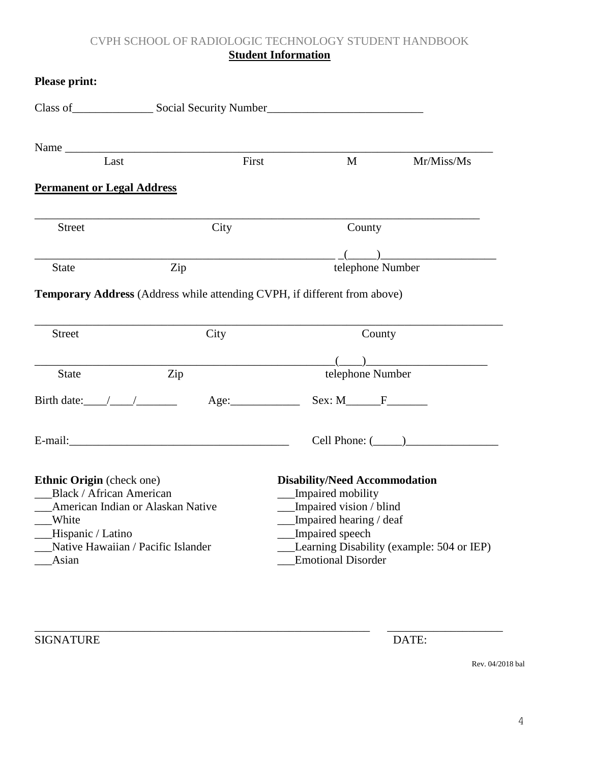## CVPH SCHOOL OF RADIOLOGIC TECHNOLOGY STUDENT HANDBOOK **Student Information**

| <b>Please print:</b>                                                                                                                                                                  |      |       |                                                                                                                                                                                                                                                                                                                                                                                         |                                                                                                                                                                                                                                                                                                                                                     |
|---------------------------------------------------------------------------------------------------------------------------------------------------------------------------------------|------|-------|-----------------------------------------------------------------------------------------------------------------------------------------------------------------------------------------------------------------------------------------------------------------------------------------------------------------------------------------------------------------------------------------|-----------------------------------------------------------------------------------------------------------------------------------------------------------------------------------------------------------------------------------------------------------------------------------------------------------------------------------------------------|
|                                                                                                                                                                                       |      |       | Class of Social Security Number Class of Security Number                                                                                                                                                                                                                                                                                                                                |                                                                                                                                                                                                                                                                                                                                                     |
| Name<br>Last                                                                                                                                                                          |      | First | M                                                                                                                                                                                                                                                                                                                                                                                       | Mr/Miss/Ms                                                                                                                                                                                                                                                                                                                                          |
| <b>Permanent or Legal Address</b>                                                                                                                                                     |      |       |                                                                                                                                                                                                                                                                                                                                                                                         |                                                                                                                                                                                                                                                                                                                                                     |
| <b>Street</b>                                                                                                                                                                         | City |       | County                                                                                                                                                                                                                                                                                                                                                                                  |                                                                                                                                                                                                                                                                                                                                                     |
| <b>State</b>                                                                                                                                                                          | Zip  |       | telephone Number                                                                                                                                                                                                                                                                                                                                                                        | $\overline{a}$ ( $\overline{a}$ ) $\overline{a}$ ) $\overline{a}$ ( $\overline{a}$ ) $\overline{a}$ ( $\overline{a}$ ) $\overline{a}$ ( $\overline{a}$ ) $\overline{a}$ ( $\overline{a}$ ) $\overline{a}$ ( $\overline{a}$ ) $\overline{a}$ ( $\overline{a}$ ) $\overline{a}$ ( $\overline{a}$ ) $\overline{a}$ ( $\overline{a}$ ) $\overline{a}$ ( |
|                                                                                                                                                                                       |      |       | <b>Temporary Address</b> (Address while attending CVPH, if different from above)                                                                                                                                                                                                                                                                                                        |                                                                                                                                                                                                                                                                                                                                                     |
| <b>Street</b>                                                                                                                                                                         | City |       | County                                                                                                                                                                                                                                                                                                                                                                                  |                                                                                                                                                                                                                                                                                                                                                     |
| <b>State</b>                                                                                                                                                                          | Zip  |       | $\begin{picture}(20,10) \put(0,0){\vector(1,0){100}} \put(15,0){\vector(1,0){100}} \put(15,0){\vector(1,0){100}} \put(15,0){\vector(1,0){100}} \put(15,0){\vector(1,0){100}} \put(15,0){\vector(1,0){100}} \put(15,0){\vector(1,0){100}} \put(15,0){\vector(1,0){100}} \put(15,0){\vector(1,0){100}} \put(15,0){\vector(1,0){100}} \put(15,0){\vector(1,0){100}} \$<br>telephone Number |                                                                                                                                                                                                                                                                                                                                                     |
|                                                                                                                                                                                       |      |       |                                                                                                                                                                                                                                                                                                                                                                                         |                                                                                                                                                                                                                                                                                                                                                     |
|                                                                                                                                                                                       |      |       |                                                                                                                                                                                                                                                                                                                                                                                         | Cell Phone: $(\_\_)$                                                                                                                                                                                                                                                                                                                                |
| <b>Ethnic Origin</b> (check one)<br><b>Black / African American</b><br>American Indian or Alaskan Native<br>White<br>Hispanic / Latino<br>Native Hawaiian / Pacific Islander<br>Asian |      |       | <b>Disability/Need Accommodation</b><br>Impaired mobility<br>_Impaired vision / blind<br>__Impaired hearing / deaf<br>__Impaired speech<br>Learning Disability (example: 504 or IEP)<br><b>Emotional Disorder</b>                                                                                                                                                                       |                                                                                                                                                                                                                                                                                                                                                     |

\_\_\_\_\_\_\_\_\_\_\_\_\_\_\_\_\_\_\_\_\_\_\_\_\_\_\_\_\_\_\_\_\_\_\_\_\_\_\_\_\_\_\_\_\_\_\_\_\_\_\_\_\_\_\_\_\_\_ \_\_\_\_\_\_\_\_\_\_\_\_\_\_\_\_\_\_\_\_

SIGNATURE DATE:

Rev. 04/2018 bal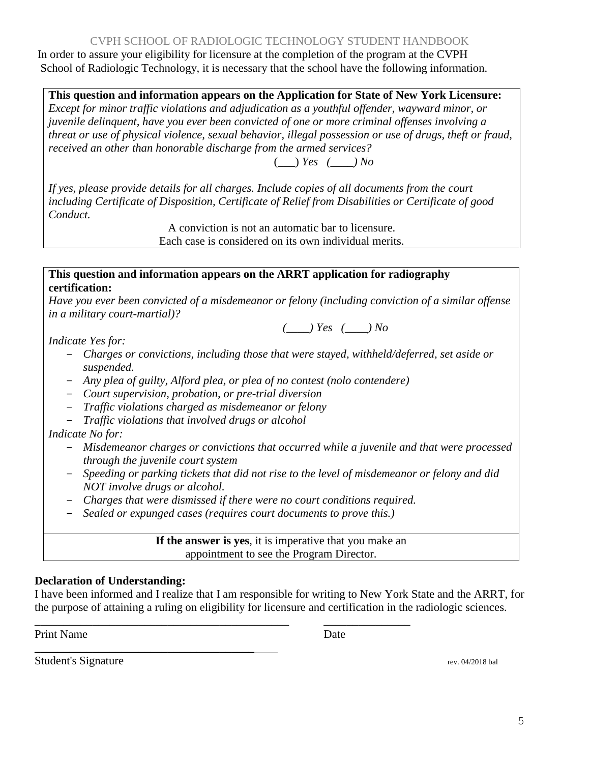In order to assure your eligibility for licensure at the completion of the program at the CVPH School of Radiologic Technology, it is necessary that the school have the following information.

**This question and information appears on the Application for State of New York Licensure:** *Except for minor traffic violations and adjudication as a youthful offender, wayward minor, or juvenile delinquent, have you ever been convicted of one or more criminal offenses involving a threat or use of physical violence, sexual behavior, illegal possession or use of drugs, theft or fraud, received an other than honorable discharge from the armed services?*

(\_\_\_) *Yes (\_\_\_\_) No*

*If yes, please provide details for all charges. Include copies of all documents from the court including Certificate of Disposition, Certificate of Relief from Disabilities or Certificate of good Conduct.*

> A conviction is not an automatic bar to licensure. Each case is considered on its own individual merits.

#### **This question and information appears on the ARRT application for radiography certification:**

*Have you ever been convicted of a misdemeanor or felony (including conviction of a similar offense in a military court-martial)?* 

 *(\_\_\_\_) Yes (\_\_\_\_) No*

*Indicate Yes for:*

- *Charges or convictions, including those that were stayed, withheld/deferred, set aside or suspended.*
- *Any plea of guilty, Alford plea, or plea of no contest (nolo contendere)*
- *Court supervision, probation, or pre-trial diversion*
- *Traffic violations charged as misdemeanor or felony*
- *Traffic violations that involved drugs or alcohol*

*Indicate No for:*

- *Misdemeanor charges or convictions that occurred while a juvenile and that were processed through the juvenile court system*
- *Speeding or parking tickets that did not rise to the level of misdemeanor or felony and did NOT involve drugs or alcohol.*
- *Charges that were dismissed if there were no court conditions required.*
- *Sealed or expunged cases (requires court documents to prove this.)*

\_\_\_\_\_\_\_\_\_\_\_\_\_\_\_\_\_\_\_\_\_\_\_\_\_\_\_\_\_\_\_\_\_\_\_\_\_\_\_\_\_\_\_\_ \_\_\_\_\_\_\_\_\_\_\_\_\_\_\_

**If the answer is yes**, it is imperative that you make an appointment to see the Program Director.

## **Declaration of Understanding:**

I have been informed and I realize that I am responsible for writing to New York State and the ARRT, for the purpose of attaining a ruling on eligibility for licensure and certification in the radiologic sciences.

Print Name Date

\_\_\_\_\_\_\_\_\_\_\_\_\_\_\_\_\_\_\_\_\_\_\_\_\_\_\_\_\_\_\_\_\_\_\_\_\_\_ Student's Signature rev. 04/2018 ball and the version of the contract of the contract of the contract of the contract of the contract of the contract of the contract of the contract of the contract of the contract of the c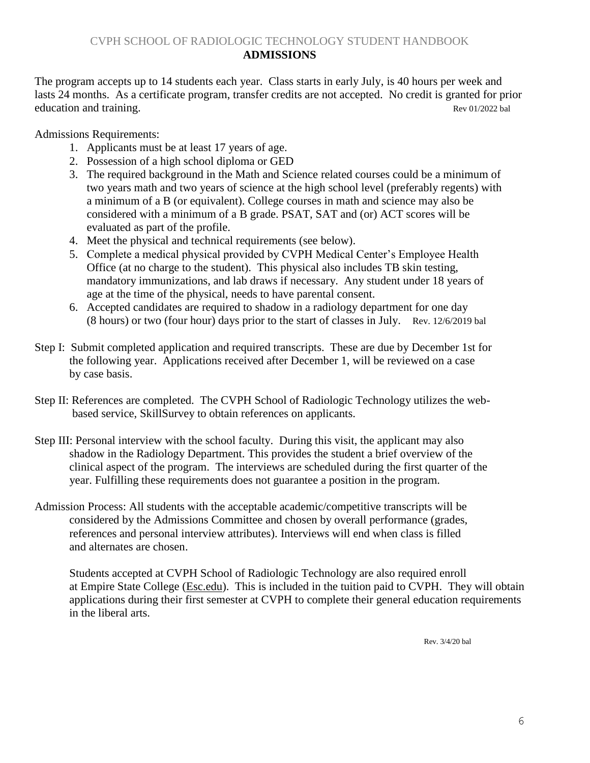The program accepts up to 14 students each year. Class starts in early July, is 40 hours per week and lasts 24 months. As a certificate program, transfer credits are not accepted. No credit is granted for prior education and training. Rev 01/2022 bal

Admissions Requirements:

- 1. Applicants must be at least 17 years of age.
- 2. Possession of a high school diploma or GED
- 3. The required background in the Math and Science related courses could be a minimum of two years math and two years of science at the high school level (preferably regents) with a minimum of a B (or equivalent). College courses in math and science may also be considered with a minimum of a B grade. PSAT, SAT and (or) ACT scores will be evaluated as part of the profile.
- 4. Meet the physical and technical requirements (see below).
- 5. Complete a medical physical provided by CVPH Medical Center's Employee Health Office (at no charge to the student). This physical also includes TB skin testing, mandatory immunizations, and lab draws if necessary. Any student under 18 years of age at the time of the physical, needs to have parental consent.
- 6. Accepted candidates are required to shadow in a radiology department for one day (8 hours) or two (four hour) days prior to the start of classes in July. Rev. 12/6/2019 bal
- Step I: Submit completed application and required transcripts. These are due by December 1st for the following year. Applications received after December 1, will be reviewed on a case by case basis.
- Step II: References are completed. The CVPH School of Radiologic Technology utilizes the web based service, SkillSurvey to obtain references on applicants.
- Step III: Personal interview with the school faculty. During this visit, the applicant may also shadow in the Radiology Department. This provides the student a brief overview of the clinical aspect of the program. The interviews are scheduled during the first quarter of the year. Fulfilling these requirements does not guarantee a position in the program.
- Admission Process: All students with the acceptable academic/competitive transcripts will be considered by the Admissions Committee and chosen by overall performance (grades, references and personal interview attributes). Interviews will end when class is filled and alternates are chosen.

Students accepted at CVPH School of Radiologic Technology are also required enroll at Empire State College [\(Esc.edu\)](http://www.esc.edu/esconline/online2.nsf/ESChome.html). This is included in the tuition paid to CVPH. They will obtain applications during their first semester at CVPH to complete their general education requirements in the liberal arts.

Rev. 3/4/20 bal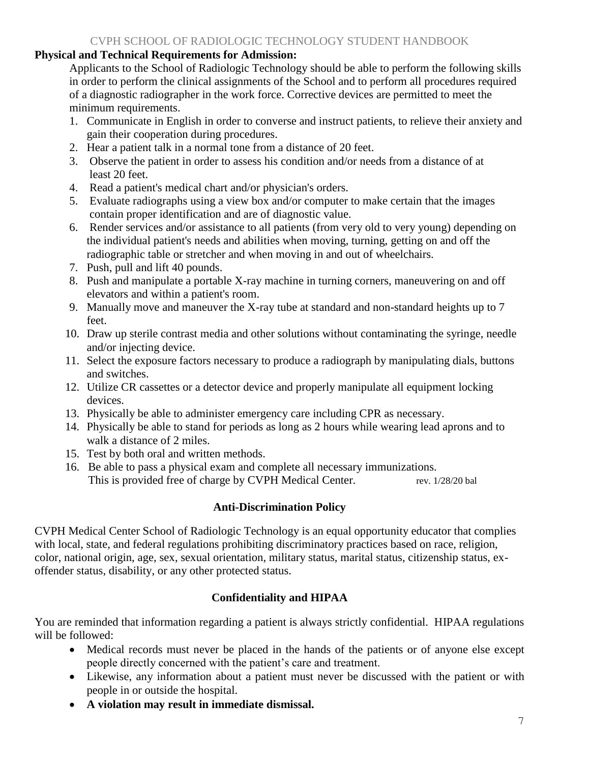### **Physical and Technical Requirements for Admission:**

Applicants to the School of Radiologic Technology should be able to perform the following skills in order to perform the clinical assignments of the School and to perform all procedures required of a diagnostic radiographer in the work force. Corrective devices are permitted to meet the minimum requirements.

- 1. Communicate in English in order to converse and instruct patients, to relieve their anxiety and gain their cooperation during procedures.
- 2. Hear a patient talk in a normal tone from a distance of 20 feet.
- 3. Observe the patient in order to assess his condition and/or needs from a distance of at least 20 feet.
- 4. Read a patient's medical chart and/or physician's orders.
- 5. Evaluate radiographs using a view box and/or computer to make certain that the images contain proper identification and are of diagnostic value.
- 6. Render services and/or assistance to all patients (from very old to very young) depending on the individual patient's needs and abilities when moving, turning, getting on and off the radiographic table or stretcher and when moving in and out of wheelchairs.
- 7. Push, pull and lift 40 pounds.
- 8. Push and manipulate a portable X-ray machine in turning corners, maneuvering on and off elevators and within a patient's room.
- 9. Manually move and maneuver the X-ray tube at standard and non-standard heights up to 7 feet.
- 10. Draw up sterile contrast media and other solutions without contaminating the syringe, needle and/or injecting device.
- 11. Select the exposure factors necessary to produce a radiograph by manipulating dials, buttons and switches.
- 12. Utilize CR cassettes or a detector device and properly manipulate all equipment locking devices.
- 13. Physically be able to administer emergency care including CPR as necessary.
- 14. Physically be able to stand for periods as long as 2 hours while wearing lead aprons and to walk a distance of 2 miles.
- 15. Test by both oral and written methods.
- 16. Be able to pass a physical exam and complete all necessary immunizations. This is provided free of charge by CVPH Medical Center. rev. 1/28/20 bal

## **Anti-Discrimination Policy**

CVPH Medical Center School of Radiologic Technology is an equal opportunity educator that complies with local, state, and federal regulations prohibiting discriminatory practices based on race, religion, color, national origin, age, sex, sexual orientation, military status, marital status, citizenship status, exoffender status, disability, or any other protected status.

## **Confidentiality and HIPAA**

You are reminded that information regarding a patient is always strictly confidential. HIPAA regulations will be followed:

- Medical records must never be placed in the hands of the patients or of anyone else except people directly concerned with the patient's care and treatment.
- Likewise, any information about a patient must never be discussed with the patient or with people in or outside the hospital.
- **A violation may result in immediate dismissal.**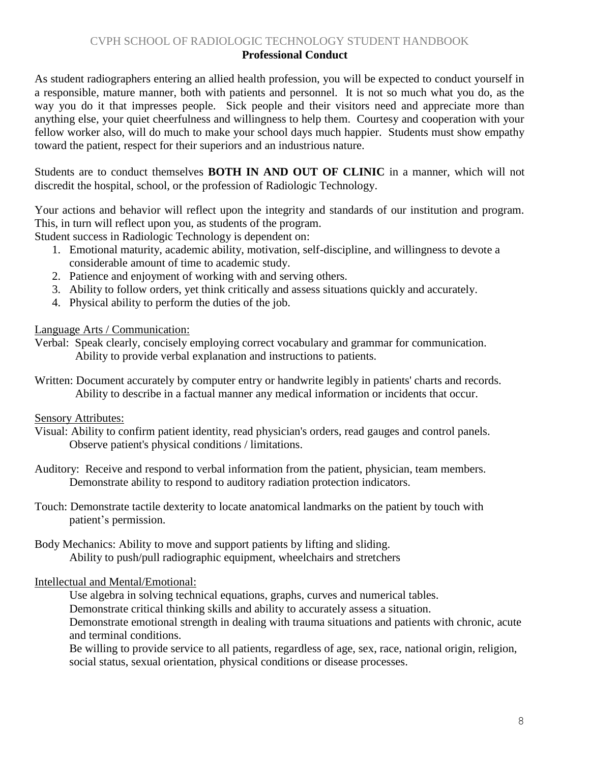#### **Professional Conduct**

As student radiographers entering an allied health profession, you will be expected to conduct yourself in a responsible, mature manner, both with patients and personnel. It is not so much what you do, as the way you do it that impresses people. Sick people and their visitors need and appreciate more than anything else, your quiet cheerfulness and willingness to help them. Courtesy and cooperation with your fellow worker also, will do much to make your school days much happier. Students must show empathy toward the patient, respect for their superiors and an industrious nature.

Students are to conduct themselves **BOTH IN AND OUT OF CLINIC** in a manner, which will not discredit the hospital, school, or the profession of Radiologic Technology.

Your actions and behavior will reflect upon the integrity and standards of our institution and program. This, in turn will reflect upon you, as students of the program.

Student success in Radiologic Technology is dependent on:

- 1. Emotional maturity, academic ability, motivation, self-discipline, and willingness to devote a considerable amount of time to academic study.
- 2. Patience and enjoyment of working with and serving others.
- 3. Ability to follow orders, yet think critically and assess situations quickly and accurately.
- 4. Physical ability to perform the duties of the job.

#### Language Arts / Communication:

- Verbal: Speak clearly, concisely employing correct vocabulary and grammar for communication. Ability to provide verbal explanation and instructions to patients.
- Written: Document accurately by computer entry or handwrite legibly in patients' charts and records. Ability to describe in a factual manner any medical information or incidents that occur.

Sensory Attributes:

- Visual: Ability to confirm patient identity, read physician's orders, read gauges and control panels. Observe patient's physical conditions / limitations.
- Auditory: Receive and respond to verbal information from the patient, physician, team members. Demonstrate ability to respond to auditory radiation protection indicators.
- Touch: Demonstrate tactile dexterity to locate anatomical landmarks on the patient by touch with patient's permission.
- Body Mechanics: Ability to move and support patients by lifting and sliding. Ability to push/pull radiographic equipment, wheelchairs and stretchers

#### Intellectual and Mental/Emotional:

- Use algebra in solving technical equations, graphs, curves and numerical tables.
- Demonstrate critical thinking skills and ability to accurately assess a situation.

Demonstrate emotional strength in dealing with trauma situations and patients with chronic, acute and terminal conditions.

Be willing to provide service to all patients, regardless of age, sex, race, national origin, religion, social status, sexual orientation, physical conditions or disease processes.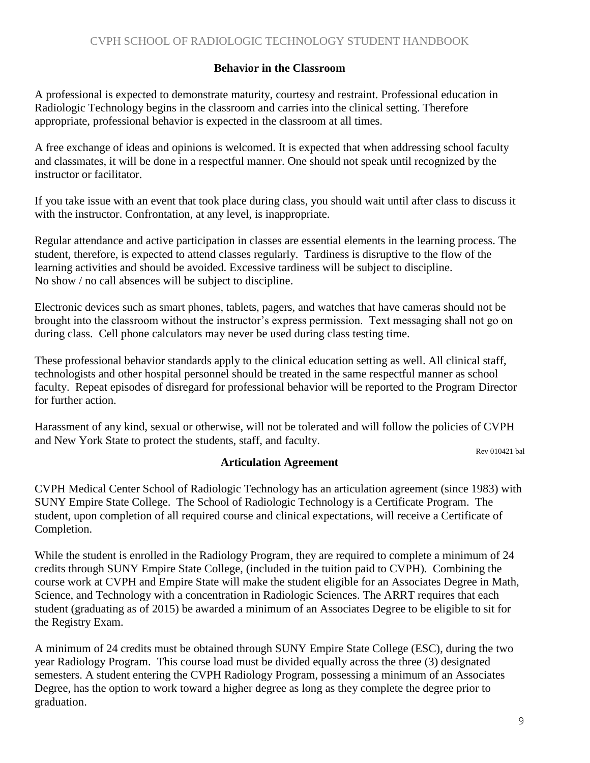#### **Behavior in the Classroom**

A professional is expected to demonstrate maturity, courtesy and restraint. Professional education in Radiologic Technology begins in the classroom and carries into the clinical setting. Therefore appropriate, professional behavior is expected in the classroom at all times.

A free exchange of ideas and opinions is welcomed. It is expected that when addressing school faculty and classmates, it will be done in a respectful manner. One should not speak until recognized by the instructor or facilitator.

If you take issue with an event that took place during class, you should wait until after class to discuss it with the instructor. Confrontation, at any level, is inappropriate.

Regular attendance and active participation in classes are essential elements in the learning process. The student, therefore, is expected to attend classes regularly. Tardiness is disruptive to the flow of the learning activities and should be avoided. Excessive tardiness will be subject to discipline. No show / no call absences will be subject to discipline.

Electronic devices such as smart phones, tablets, pagers, and watches that have cameras should not be brought into the classroom without the instructor's express permission. Text messaging shall not go on during class. Cell phone calculators may never be used during class testing time.

These professional behavior standards apply to the clinical education setting as well. All clinical staff, technologists and other hospital personnel should be treated in the same respectful manner as school faculty. Repeat episodes of disregard for professional behavior will be reported to the Program Director for further action.

Harassment of any kind, sexual or otherwise, will not be tolerated and will follow the policies of CVPH and New York State to protect the students, staff, and faculty.

Rev 010421 bal

#### **Articulation Agreement**

CVPH Medical Center School of Radiologic Technology has an articulation agreement (since 1983) with SUNY Empire State College. The School of Radiologic Technology is a Certificate Program. The student, upon completion of all required course and clinical expectations, will receive a Certificate of Completion.

While the student is enrolled in the Radiology Program, they are required to complete a minimum of 24 credits through SUNY Empire State College, (included in the tuition paid to CVPH). Combining the course work at CVPH and Empire State will make the student eligible for an Associates Degree in Math, Science, and Technology with a concentration in Radiologic Sciences. The ARRT requires that each student (graduating as of 2015) be awarded a minimum of an Associates Degree to be eligible to sit for the Registry Exam.

A minimum of 24 credits must be obtained through SUNY Empire State College (ESC), during the two year Radiology Program. This course load must be divided equally across the three (3) designated semesters. A student entering the CVPH Radiology Program, possessing a minimum of an Associates Degree, has the option to work toward a higher degree as long as they complete the degree prior to graduation.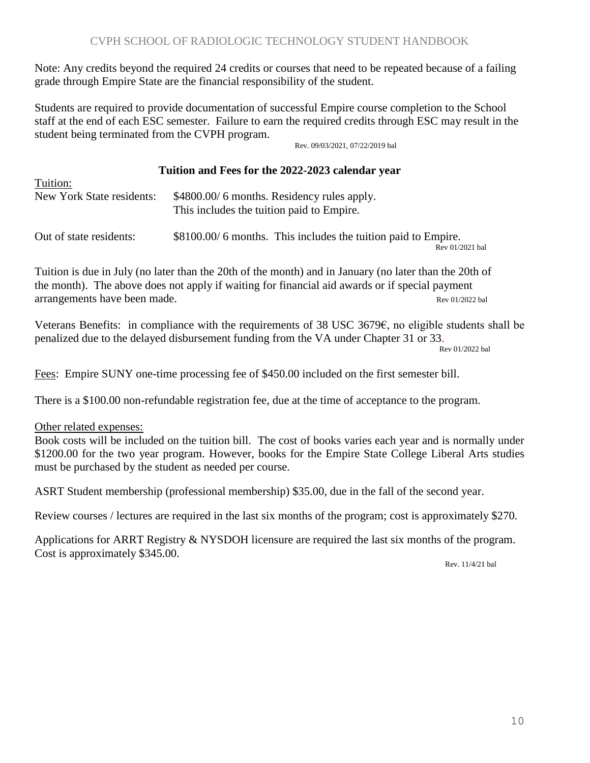Note: Any credits beyond the required 24 credits or courses that need to be repeated because of a failing grade through Empire State are the financial responsibility of the student.

Students are required to provide documentation of successful Empire course completion to the School staff at the end of each ESC semester. Failure to earn the required credits through ESC may result in the student being terminated from the CVPH program.

Rev. 09/03/2021, 07/22/2019 bal

## **Tuition and Fees for the 2022-2023 calendar year**

| Tuition:                  | \$4800.00/6 months. Residency rules apply.                                       |
|---------------------------|----------------------------------------------------------------------------------|
| New York State residents: | This includes the tuition paid to Empire.                                        |
| Out of state residents:   | \$8100.00/6 months. This includes the tuition paid to Empire.<br>Rev 01/2021 bal |

Tuition is due in July (no later than the 20th of the month) and in January (no later than the 20th of the month). The above does not apply if waiting for financial aid awards or if special payment arrangements have been made. The same state of the set of the set of the set of the set of the set of the set of the set of the set of the set of the set of the set of the set of the set of the set of the set of the set of

Veterans Benefits: in compliance with the requirements of 38 USC 3679€, no eligible students shall be penalized due to the delayed disbursement funding from the VA under Chapter 31 or 33.<br>Rev 01/2022 bal  $\frac{1}{2}$  Rev 01/2022 bal

Fees: Empire SUNY one-time processing fee of \$450.00 included on the first semester bill.

There is a \$100.00 non-refundable registration fee, due at the time of acceptance to the program.

#### Other related expenses:

 $T_{\text{max}}$ 

Book costs will be included on the tuition bill. The cost of books varies each year and is normally under \$1200.00 for the two year program. However, books for the Empire State College Liberal Arts studies must be purchased by the student as needed per course.

ASRT Student membership (professional membership) \$35.00, due in the fall of the second year.

Review courses / lectures are required in the last six months of the program; cost is approximately \$270.

Applications for ARRT Registry & NYSDOH licensure are required the last six months of the program. Cost is approximately \$345.00.  $\text{Rev. } 11/4/21 \text{ bal}$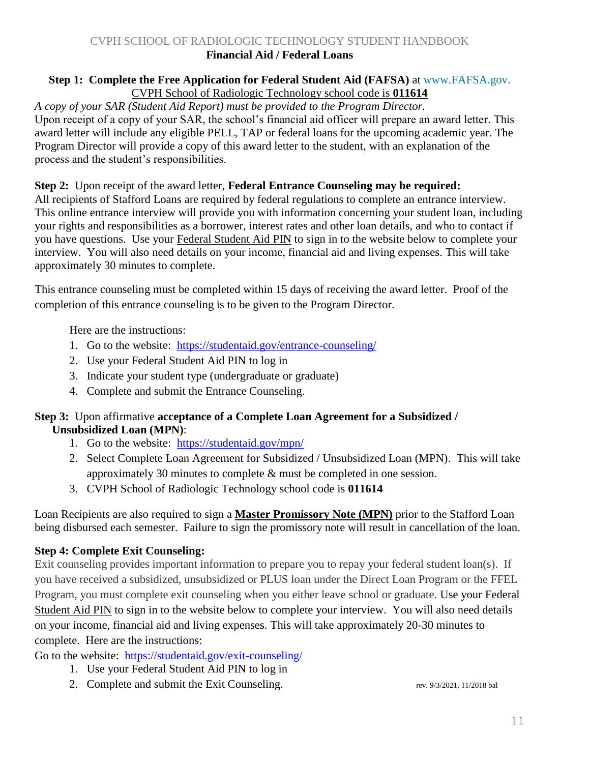### **Financial Aid / Federal Loans**

#### **Step 1: Complete the Free Application for Federal Student Aid (FAFSA)** at [www.FAFSA.gov.](https://www.fafsa.ed.gov/) CVPH School of Radiologic Technology school code is **011614**

*A copy of your SAR (Student Aid Report) must be provided to the Program Director.* Upon receipt of a copy of your SAR, the school's financial aid officer will prepare an award letter. This award letter will include any eligible PELL, TAP or federal loans for the upcoming academic year. The Program Director will provide a copy of this award letter to the student, with an explanation of the process and the student's responsibilities.

#### **Step 2:** Upon receipt of the award letter, **Federal Entrance Counseling may be required:**

All recipients of Stafford Loans are required by federal regulations to complete an entrance interview. This online entrance interview will provide you with information concerning your student loan, including your rights and responsibilities as a borrower, interest rates and other loan details, and who to contact if you have questions. Use your Federal Student Aid PIN to sign in to the website below to complete your interview. You will also need details on your income, financial aid and living expenses. This will take approximately 30 minutes to complete.

This entrance counseling must be completed within 15 days of receiving the award letter. Proof of the completion of this entrance counseling is to be given to the Program Director.

Here are the instructions:

- 1. Go to the website: <https://studentaid.gov/entrance-counseling/>
- 2. Use your Federal Student Aid PIN to log in
- 3. Indicate your student type (undergraduate or graduate)
- 4. Complete and submit the Entrance Counseling.

## **Step 3:** Upon affirmative **acceptance of a [Complete Loan Agreement for a Subsidized](https://studentloans.gov/myDirectLoan/launchMpn.action?mpnType=subUnsubMpn) /  [Unsubsidized Loan \(MPN\)](https://studentloans.gov/myDirectLoan/launchMpn.action?mpnType=subUnsubMpn)**:

- 1. Go to the website: <https://studentaid.gov/mpn/>
- 2. Select Complete Loan Agreement for Subsidized / Unsubsidized Loan (MPN). This will take approximately 30 minutes to complete & must be completed in one session.
- 3. CVPH School of Radiologic Technology school code is **011614**

Loan Recipients are also required to sign a **Master Promissory Note (MPN)** prior to the Stafford Loan being disbursed each semester. Failure to sign the promissory note will result in cancellation of the loan.

#### **Step 4: Complete Exit Counseling:**

Exit counseling provides important information to prepare you to repay your federal student loan(s). If you have received a subsidized, unsubsidized or PLUS loan under the Direct Loan Program or the FFEL Program, you must complete exit counseling when you either leave school or graduate. Use your Federal Student Aid PIN to sign in to the website below to complete your interview. You will also need details on your income, financial aid and living expenses. This will take approximately 20-30 minutes to complete. Here are the instructions:

Go to the website: <https://studentaid.gov/exit-counseling/>

- 1. Use your Federal Student Aid PIN to log in
- 2. Complete and submit the Exit Counseling. The rev. 9/3/2021, 11/2018 bal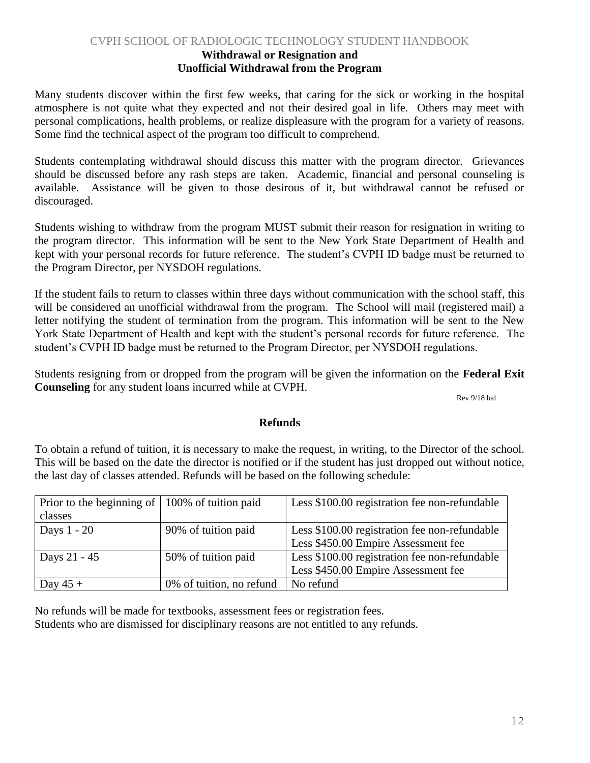#### **Withdrawal or Resignation and Unofficial Withdrawal from the Program**

Many students discover within the first few weeks, that caring for the sick or working in the hospital atmosphere is not quite what they expected and not their desired goal in life. Others may meet with personal complications, health problems, or realize displeasure with the program for a variety of reasons. Some find the technical aspect of the program too difficult to comprehend.

Students contemplating withdrawal should discuss this matter with the program director. Grievances should be discussed before any rash steps are taken. Academic, financial and personal counseling is available. Assistance will be given to those desirous of it, but withdrawal cannot be refused or discouraged.

Students wishing to withdraw from the program MUST submit their reason for resignation in writing to the program director. This information will be sent to the New York State Department of Health and kept with your personal records for future reference. The student's CVPH ID badge must be returned to the Program Director, per NYSDOH regulations.

If the student fails to return to classes within three days without communication with the school staff, this will be considered an unofficial withdrawal from the program. The School will mail (registered mail) a letter notifying the student of termination from the program. This information will be sent to the New York State Department of Health and kept with the student's personal records for future reference. The student's CVPH ID badge must be returned to the Program Director, per NYSDOH regulations.

Students resigning from or dropped from the program will be given the information on the **Federal Exit Counseling** for any student loans incurred while at CVPH.

Rev 9/18 bal

#### **Refunds**

To obtain a refund of tuition, it is necessary to make the request, in writing, to the Director of the school. This will be based on the date the director is notified or if the student has just dropped out without notice, the last day of classes attended. Refunds will be based on the following schedule:

| Prior to the beginning of $\vert$ 100% of tuition paid |                          | Less \$100.00 registration fee non-refundable |
|--------------------------------------------------------|--------------------------|-----------------------------------------------|
| classes                                                |                          |                                               |
| Days 1 - 20                                            | 90% of tuition paid      | Less \$100.00 registration fee non-refundable |
|                                                        |                          | Less \$450.00 Empire Assessment fee           |
| Days 21 - 45                                           | 50% of tuition paid      | Less \$100.00 registration fee non-refundable |
|                                                        |                          | Less \$450.00 Empire Assessment fee           |
| Day $45 +$                                             | 0% of tuition, no refund | No refund                                     |

No refunds will be made for textbooks, assessment fees or registration fees. Students who are dismissed for disciplinary reasons are not entitled to any refunds.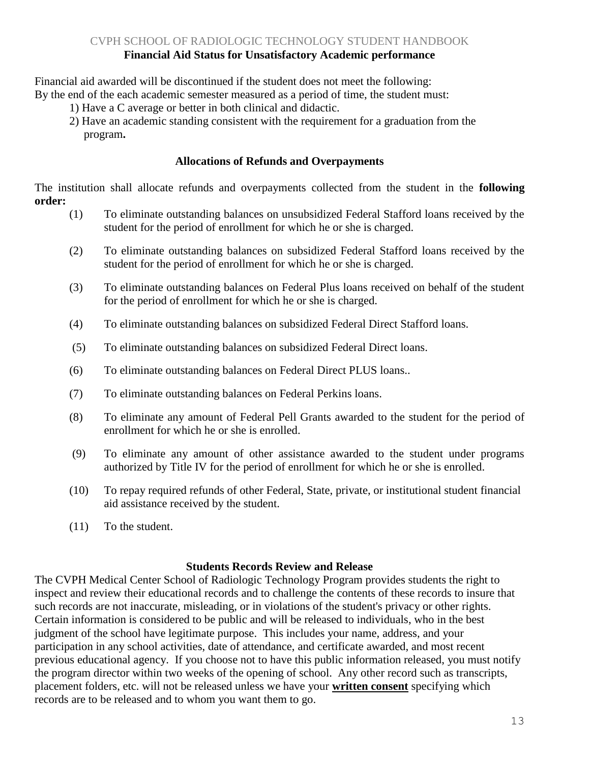#### **Financial Aid Status for Unsatisfactory Academic performance**

Financial aid awarded will be discontinued if the student does not meet the following:

- By the end of the each academic semester measured as a period of time, the student must:
	- 1) Have a C average or better in both clinical and didactic.
	- 2) Have an academic standing consistent with the requirement for a graduation from the program**.**

#### **Allocations of Refunds and Overpayments**

The institution shall allocate refunds and overpayments collected from the student in the **following order:**

- (1) To eliminate outstanding balances on unsubsidized Federal Stafford loans received by the student for the period of enrollment for which he or she is charged.
- (2) To eliminate outstanding balances on subsidized Federal Stafford loans received by the student for the period of enrollment for which he or she is charged.
- (3) To eliminate outstanding balances on Federal Plus loans received on behalf of the student for the period of enrollment for which he or she is charged.
- (4) To eliminate outstanding balances on subsidized Federal Direct Stafford loans.
- (5) To eliminate outstanding balances on subsidized Federal Direct loans.
- (6) To eliminate outstanding balances on Federal Direct PLUS loans..
- (7) To eliminate outstanding balances on Federal Perkins loans.
- (8) To eliminate any amount of Federal Pell Grants awarded to the student for the period of enrollment for which he or she is enrolled.
- (9) To eliminate any amount of other assistance awarded to the student under programs authorized by Title IV for the period of enrollment for which he or she is enrolled.
- (10) To repay required refunds of other Federal, State, private, or institutional student financial aid assistance received by the student.
- (11) To the student.

#### **Students Records Review and Release**

The CVPH Medical Center School of Radiologic Technology Program provides students the right to inspect and review their educational records and to challenge the contents of these records to insure that such records are not inaccurate, misleading, or in violations of the student's privacy or other rights. Certain information is considered to be public and will be released to individuals, who in the best judgment of the school have legitimate purpose. This includes your name, address, and your participation in any school activities, date of attendance, and certificate awarded, and most recent previous educational agency. If you choose not to have this public information released, you must notify the program director within two weeks of the opening of school. Any other record such as transcripts, placement folders, etc. will not be released unless we have your **written consent** specifying which records are to be released and to whom you want them to go.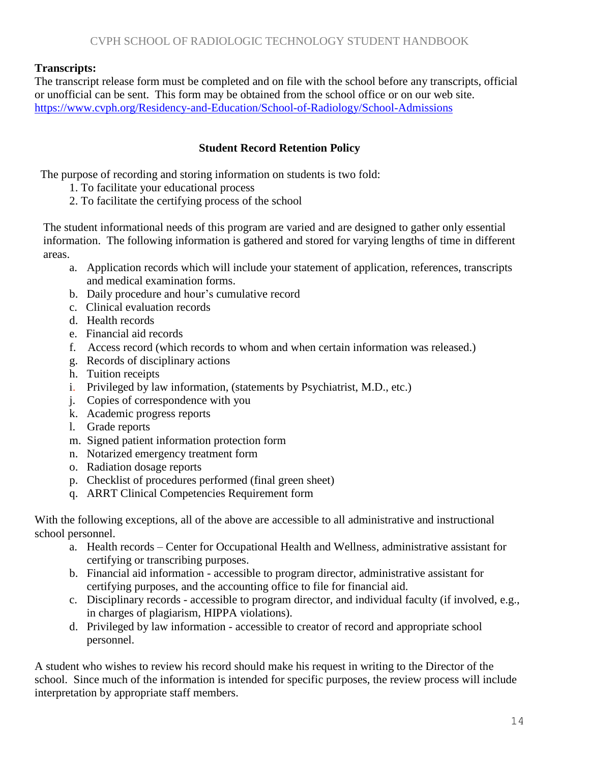## **Transcripts:**

The transcript release form must be completed and on file with the school before any transcripts, official or unofficial can be sent. This form may be obtained from the school office or on our web site. <https://www.cvph.org/Residency-and-Education/School-of-Radiology/School-Admissions>

## **Student Record Retention Policy**

The purpose of recording and storing information on students is two fold:

- 1. To facilitate your educational process
- 2. To facilitate the certifying process of the school

The student informational needs of this program are varied and are designed to gather only essential information. The following information is gathered and stored for varying lengths of time in different areas.

- a. Application records which will include your statement of application, references, transcripts and medical examination forms.
- b. Daily procedure and hour's cumulative record
- c. Clinical evaluation records
- d. Health records
- e. Financial aid records
- f. Access record (which records to whom and when certain information was released.)
- g. Records of disciplinary actions
- h. Tuition receipts
- i. Privileged by law information, (statements by Psychiatrist, M.D., etc.)
- j. Copies of correspondence with you
- k. Academic progress reports
- l. Grade reports
- m. Signed patient information protection form
- n. Notarized emergency treatment form
- o. Radiation dosage reports
- p. Checklist of procedures performed (final green sheet)
- q. ARRT Clinical Competencies Requirement form

With the following exceptions, all of the above are accessible to all administrative and instructional school personnel.

- a. Health records Center for Occupational Health and Wellness, administrative assistant for certifying or transcribing purposes.
- b. Financial aid information accessible to program director, administrative assistant for certifying purposes, and the accounting office to file for financial aid.
- c. Disciplinary records accessible to program director, and individual faculty (if involved, e.g., in charges of plagiarism, HIPPA violations).
- d. Privileged by law information accessible to creator of record and appropriate school personnel.

A student who wishes to review his record should make his request in writing to the Director of the school. Since much of the information is intended for specific purposes, the review process will include interpretation by appropriate staff members.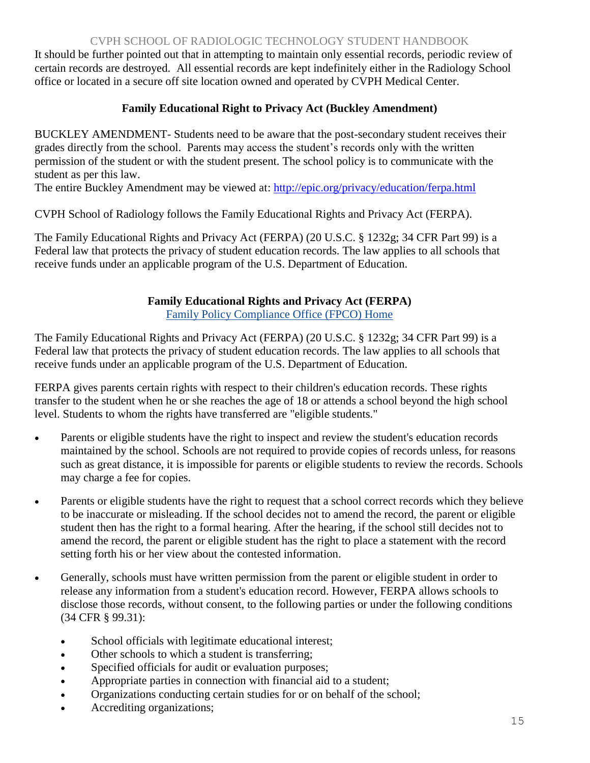It should be further pointed out that in attempting to maintain only essential records, periodic review of certain records are destroyed. All essential records are kept indefinitely either in the Radiology School office or located in a secure off site location owned and operated by CVPH Medical Center.

## **Family Educational Right to Privacy Act (Buckley Amendment)**

BUCKLEY AMENDMENT- Students need to be aware that the post-secondary student receives their grades directly from the school. Parents may access the student's records only with the written permission of the student or with the student present. The school policy is to communicate with the student as per this law.

The entire Buckley Amendment may be viewed at: <http://epic.org/privacy/education/ferpa.html>

CVPH School of Radiology follows the Family Educational Rights and Privacy Act (FERPA).

The Family Educational Rights and Privacy Act (FERPA) (20 U.S.C. § 1232g; 34 CFR Part 99) is a Federal law that protects the privacy of student education records. The law applies to all schools that receive funds under an applicable program of the U.S. Department of Education.

#### **Family Educational Rights and Privacy Act (FERPA)** [Family Policy Compliance Office \(FPCO\) Home](http://www.ed.gov/policy/gen/guid/fpco/index.html)

The Family Educational Rights and Privacy Act (FERPA) (20 U.S.C. § 1232g; 34 CFR Part 99) is a Federal law that protects the privacy of student education records. The law applies to all schools that receive funds under an applicable program of the U.S. Department of Education.

FERPA gives parents certain rights with respect to their children's education records. These rights transfer to the student when he or she reaches the age of 18 or attends a school beyond the high school level. Students to whom the rights have transferred are "eligible students."

- Parents or eligible students have the right to inspect and review the student's education records maintained by the school. Schools are not required to provide copies of records unless, for reasons such as great distance, it is impossible for parents or eligible students to review the records. Schools may charge a fee for copies.
- Parents or eligible students have the right to request that a school correct records which they believe to be inaccurate or misleading. If the school decides not to amend the record, the parent or eligible student then has the right to a formal hearing. After the hearing, if the school still decides not to amend the record, the parent or eligible student has the right to place a statement with the record setting forth his or her view about the contested information.
- Generally, schools must have written permission from the parent or eligible student in order to release any information from a student's education record. However, FERPA allows schools to disclose those records, without consent, to the following parties or under the following conditions (34 CFR § 99.31):
	- School officials with legitimate educational interest;
	- Other schools to which a student is transferring;
	- Specified officials for audit or evaluation purposes;
	- Appropriate parties in connection with financial aid to a student;
	- Organizations conducting certain studies for or on behalf of the school;
	- Accrediting organizations;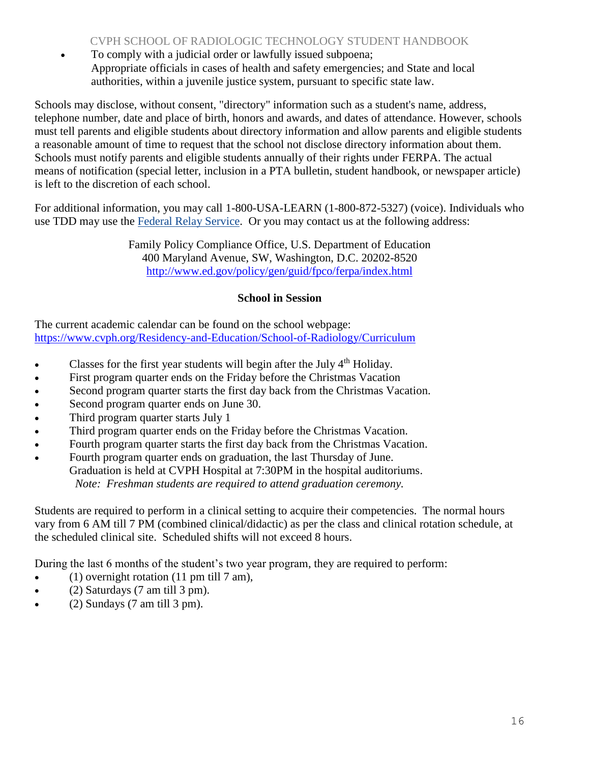• To comply with a judicial order or lawfully issued subpoena; Appropriate officials in cases of health and safety emergencies; and State and local authorities, within a juvenile justice system, pursuant to specific state law.

Schools may disclose, without consent, "directory" information such as a student's name, address, telephone number, date and place of birth, honors and awards, and dates of attendance. However, schools must tell parents and eligible students about directory information and allow parents and eligible students a reasonable amount of time to request that the school not disclose directory information about them. Schools must notify parents and eligible students annually of their rights under FERPA. The actual means of notification (special letter, inclusion in a PTA bulletin, student handbook, or newspaper article) is left to the discretion of each school.

For additional information, you may call 1-800-USA-LEARN (1-800-872-5327) (voice). Individuals who use TDD may use the [Federal Relay Service.](http://www.ed.gov/about/contacts/gen/index.html#frs) Or you may contact us at the following address:

> Family Policy Compliance Office, U.S. Department of Education 400 Maryland Avenue, SW, Washington, D.C. 20202-8520 <http://www.ed.gov/policy/gen/guid/fpco/ferpa/index.html>

## **School in Session**

The current academic calendar can be found on the school webpage: <https://www.cvph.org/Residency-and-Education/School-of-Radiology/Curriculum>

- Classes for the first year students will begin after the July  $4<sup>th</sup>$  Holiday.
- First program quarter ends on the Friday before the Christmas Vacation
- Second program quarter starts the first day back from the Christmas Vacation.
- Second program quarter ends on June 30.
- Third program quarter starts July 1
- Third program quarter ends on the Friday before the Christmas Vacation.
- Fourth program quarter starts the first day back from the Christmas Vacation.
- Fourth program quarter ends on graduation, the last Thursday of June. Graduation is held at CVPH Hospital at 7:30PM in the hospital auditoriums.  *Note: Freshman students are required to attend graduation ceremony.*

Students are required to perform in a clinical setting to acquire their competencies. The normal hours vary from 6 AM till 7 PM (combined clinical/didactic) as per the class and clinical rotation schedule, at the scheduled clinical site. Scheduled shifts will not exceed 8 hours.

During the last 6 months of the student's two year program, they are required to perform:

- $\bullet$  (1) overnight rotation (11 pm till 7 am),
- $\bullet$  (2) Saturdays (7 am till 3 pm).
- $\bullet$  (2) Sundays (7 am till 3 pm).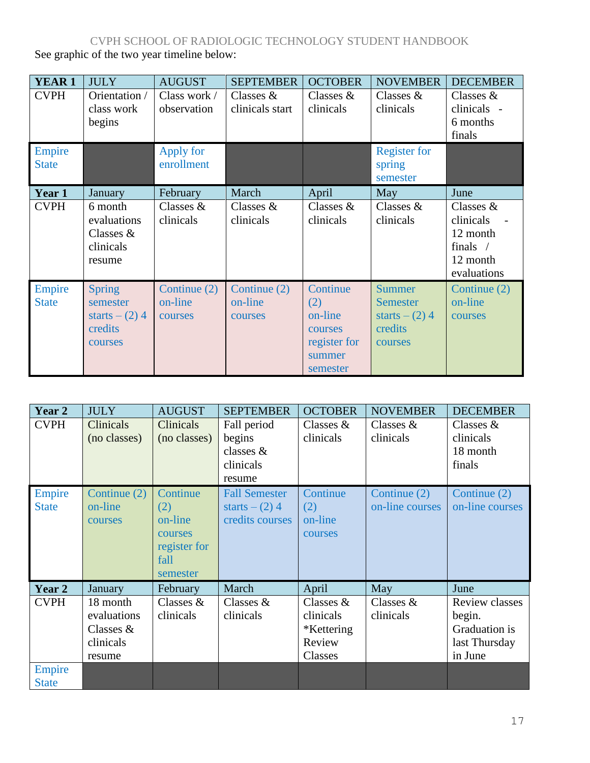See graphic of the two year timeline below:

| <b>YEAR1</b>           | <b>JULY</b>                                                         | <b>AUGUST</b>                      | <b>SEPTEMBER</b>                   | <b>OCTOBER</b>                                                              | <b>NOVEMBER</b>                                                            | <b>DECEMBER</b>                                                             |
|------------------------|---------------------------------------------------------------------|------------------------------------|------------------------------------|-----------------------------------------------------------------------------|----------------------------------------------------------------------------|-----------------------------------------------------------------------------|
| <b>CVPH</b>            | Orientation /<br>class work<br>begins                               | Class work /<br>observation        | Classes $&$<br>clinicals start     | Classes $&$<br>clinicals                                                    | Classes $&$<br>clinicals                                                   | Classes $&$<br>clinicals -<br>6 months<br>finals                            |
| Empire<br><b>State</b> |                                                                     | Apply for<br>enrollment            |                                    |                                                                             | <b>Register for</b><br>spring<br>semester                                  |                                                                             |
| Year 1                 | January                                                             | February                           | March                              | April                                                                       | May                                                                        | June                                                                        |
| <b>CVPH</b>            | 6 month<br>evaluations<br>Classes &<br>clinicals<br>resume          | Classes $&$<br>clinicals           | Classes $&$<br>clinicals           | Classes &<br>clinicals                                                      | Classes &<br>clinicals                                                     | Classes &<br>clinicals<br>12 month<br>finals $/$<br>12 month<br>evaluations |
| Empire<br><b>State</b> | <b>Spring</b><br>semester<br>starts $-$ (2) 4<br>credits<br>courses | Continue (2)<br>on-line<br>courses | Continue (2)<br>on-line<br>courses | Continue<br>(2)<br>on-line<br>courses<br>register for<br>summer<br>semester | <b>Summer</b><br><b>Semester</b><br>starts $-$ (2) 4<br>credits<br>courses | Continue (2)<br>on-line<br>courses                                          |

| Year 2                 | <b>JULY</b>                                                   | <b>AUGUST</b>                                                             | <b>SEPTEMBER</b>                                             | <b>OCTOBER</b>                                              | <b>NOVEMBER</b>                 | <b>DECEMBER</b>                                                       |
|------------------------|---------------------------------------------------------------|---------------------------------------------------------------------------|--------------------------------------------------------------|-------------------------------------------------------------|---------------------------------|-----------------------------------------------------------------------|
| <b>CVPH</b>            | Clinicals<br>(no classes)                                     | <b>Clinicals</b><br>(no classes)                                          | Fall period<br>begins<br>classes $\&$<br>clinicals<br>resume | Classes $&$<br>clinicals                                    | Classes $&$<br>clinicals        | Classes $&$<br>clinicals<br>18 month<br>finals                        |
| Empire<br><b>State</b> | Continue (2)<br>on-line<br>courses                            | Continue<br>(2)<br>on-line<br>courses<br>register for<br>fall<br>semester | <b>Fall Semester</b><br>starts $-$ (2) 4<br>credits courses  | Continue<br>(2)<br>on-line<br>courses                       | Continue (2)<br>on-line courses | Continue (2)<br>on-line courses                                       |
| Year 2                 | January                                                       | February                                                                  | March                                                        | April                                                       | May                             | June                                                                  |
| <b>CVPH</b>            | 18 month<br>evaluations<br>Classes $&$<br>clinicals<br>resume | Classes $&$<br>clinicals                                                  | Classes $&$<br>clinicals                                     | Classes $&$<br>clinicals<br>*Kettering<br>Review<br>Classes | Classes &<br>clinicals          | Review classes<br>begin.<br>Graduation is<br>last Thursday<br>in June |
| Empire<br><b>State</b> |                                                               |                                                                           |                                                              |                                                             |                                 |                                                                       |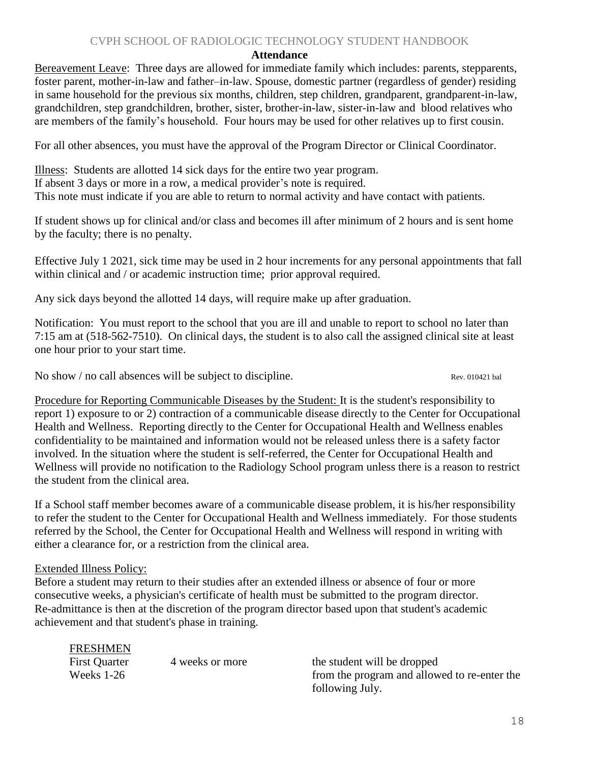#### **Attendance**

Bereavement Leave: Three days are allowed for immediate family which includes: parents, stepparents, foster parent, mother-in-law and father–in-law. Spouse, domestic partner (regardless of gender) residing in same household for the previous six months, children, step children, grandparent, grandparent-in-law, grandchildren, step grandchildren, brother, sister, brother-in-law, sister-in-law and blood relatives who are members of the family's household. Four hours may be used for other relatives up to first cousin.

For all other absences, you must have the approval of the Program Director or Clinical Coordinator.

Illness: Students are allotted 14 sick days for the entire two year program. If absent 3 days or more in a row, a medical provider's note is required. This note must indicate if you are able to return to normal activity and have contact with patients.

If student shows up for clinical and/or class and becomes ill after minimum of 2 hours and is sent home by the faculty; there is no penalty.

Effective July 1 2021, sick time may be used in 2 hour increments for any personal appointments that fall within clinical and / or academic instruction time; prior approval required.

Any sick days beyond the allotted 14 days, will require make up after graduation.

Notification: You must report to the school that you are ill and unable to report to school no later than 7:15 am at (518-562-7510). On clinical days, the student is to also call the assigned clinical site at least one hour prior to your start time.

No show / no call absences will be subject to discipline. Rev. 010421 ball Rev. 010421 ball

Procedure for Reporting Communicable Diseases by the Student: It is the student's responsibility to report 1) exposure to or 2) contraction of a communicable disease directly to the Center for Occupational Health and Wellness. Reporting directly to the Center for Occupational Health and Wellness enables confidentiality to be maintained and information would not be released unless there is a safety factor involved. In the situation where the student is self-referred, the Center for Occupational Health and Wellness will provide no notification to the Radiology School program unless there is a reason to restrict the student from the clinical area.

If a School staff member becomes aware of a communicable disease problem, it is his/her responsibility to refer the student to the Center for Occupational Health and Wellness immediately. For those students referred by the School, the Center for Occupational Health and Wellness will respond in writing with either a clearance for, or a restriction from the clinical area.

#### Extended Illness Policy:

Before a student may return to their studies after an extended illness or absence of four or more consecutive weeks, a physician's certificate of health must be submitted to the program director. Re-admittance is then at the discretion of the program director based upon that student's academic achievement and that student's phase in training.

## **FRESHMEN**

First Quarter 4 weeks or more the student will be dropped Weeks 1-26 from the program and allowed to re-enter the following July.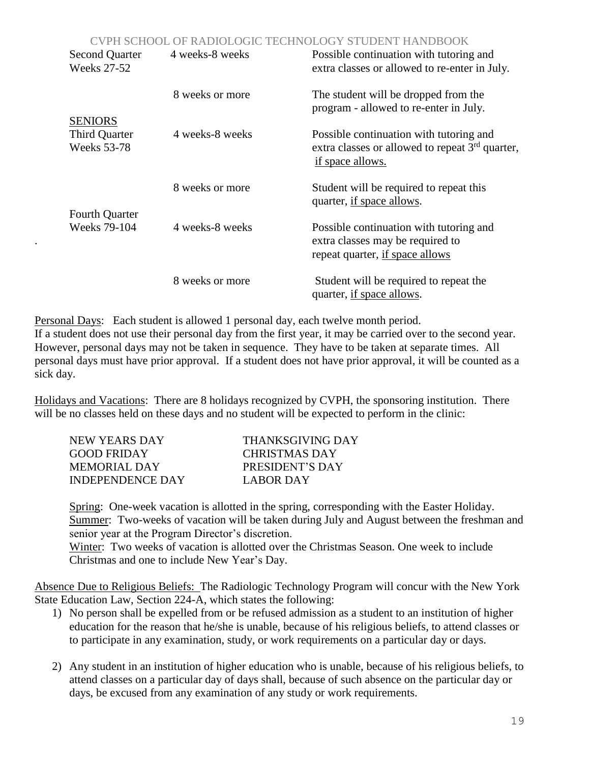| <b>Second Quarter</b>               | 4 weeks-8 weeks | Possible continuation with tutoring and                                                                                    |
|-------------------------------------|-----------------|----------------------------------------------------------------------------------------------------------------------------|
| <b>Weeks 27-52</b>                  |                 | extra classes or allowed to re-enter in July.                                                                              |
| <b>SENIORS</b>                      | 8 weeks or more | The student will be dropped from the<br>program - allowed to re-enter in July.                                             |
| Third Quarter<br><b>Weeks 53-78</b> | 4 weeks-8 weeks | Possible continuation with tutoring and<br>extra classes or allowed to repeat 3 <sup>rd</sup> quarter,<br>if space allows. |
| Fourth Quarter                      | 8 weeks or more | Student will be required to repeat this<br>quarter, if space allows.                                                       |
| <b>Weeks 79-104</b>                 | 4 weeks-8 weeks | Possible continuation with tutoring and<br>extra classes may be required to<br>repeat quarter, if space allows             |
|                                     | 8 weeks or more | Student will be required to repeat the<br>quarter, if space allows.                                                        |

Personal Days: Each student is allowed 1 personal day, each twelve month period.

If a student does not use their personal day from the first year, it may be carried over to the second year. However, personal days may not be taken in sequence. They have to be taken at separate times. All personal days must have prior approval. If a student does not have prior approval, it will be counted as a sick day.

Holidays and Vacations: There are 8 holidays recognized by CVPH, the sponsoring institution. There will be no classes held on these days and no student will be expected to perform in the clinic:

| NEW YEARS DAY           | <b>THANKSGIVING DAY</b> |
|-------------------------|-------------------------|
| GOOD FRIDAY             | CHRISTMAS DAY           |
| MEMORIAL DAY            | PRESIDENT'S DAY         |
| <b>INDEPENDENCE DAY</b> | LABOR DAY               |
|                         |                         |

Spring: One-week vacation is allotted in the spring, corresponding with the Easter Holiday. Summer: Two-weeks of vacation will be taken during July and August between the freshman and senior year at the Program Director's discretion.

Winter: Two weeks of vacation is allotted over the Christmas Season. One week to include Christmas and one to include New Year's Day.

Absence Due to Religious Beliefs: The Radiologic Technology Program will concur with the New York State Education Law, Section 224-A, which states the following:

- 1) No person shall be expelled from or be refused admission as a student to an institution of higher education for the reason that he/she is unable, because of his religious beliefs, to attend classes or to participate in any examination, study, or work requirements on a particular day or days.
- 2) Any student in an institution of higher education who is unable, because of his religious beliefs, to attend classes on a particular day of days shall, because of such absence on the particular day or days, be excused from any examination of any study or work requirements.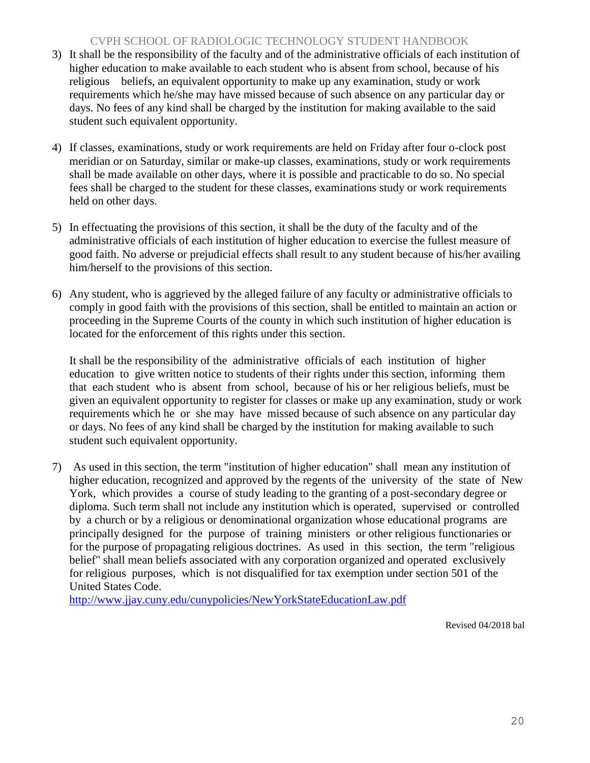- 3) It shall be the responsibility of the faculty and of the administrative officials of each institution of higher education to make available to each student who is absent from school, because of his religious beliefs, an equivalent opportunity to make up any examination, study or work requirements which he/she may have missed because of such absence on any particular day or days. No fees of any kind shall be charged by the institution for making available to the said student such equivalent opportunity.
- 4) If classes, examinations, study or work requirements are held on Friday after four o-clock post meridian or on Saturday, similar or make-up classes, examinations, study or work requirements shall be made available on other days, where it is possible and practicable to do so. No special fees shall be charged to the student for these classes, examinations study or work requirements held on other days.
- 5) In effectuating the provisions of this section, it shall be the duty of the faculty and of the administrative officials of each institution of higher education to exercise the fullest measure of good faith. No adverse or prejudicial effects shall result to any student because of his/her availing him/herself to the provisions of this section.
- 6) Any student, who is aggrieved by the alleged failure of any faculty or administrative officials to comply in good faith with the provisions of this section, shall be entitled to maintain an action or proceeding in the Supreme Courts of the county in which such institution of higher education is located for the enforcement of this rights under this section.

It shall be the responsibility of the administrative officials of each institution of higher education to give written notice to students of their rights under this section, informing them that each student who is absent from school, because of his or her religious beliefs, must be given an equivalent opportunity to register for classes or make up any examination, study or work requirements which he or she may have missed because of such absence on any particular day or days. No fees of any kind shall be charged by the institution for making available to such student such equivalent opportunity.

7) As used in this section, the term "institution of higher education" shall mean any institution of higher education, recognized and approved by the regents of the university of the state of New York, which provides a course of study leading to the granting of a post-secondary degree or diploma. Such term shall not include any institution which is operated, supervised or controlled by a church or by a religious or denominational organization whose educational programs are principally designed for the purpose of training ministers or other religious functionaries or for the purpose of propagating religious doctrines. As used in this section, the term "religious belief" shall mean beliefs associated with any corporation organized and operated exclusively for religious purposes, which is not disqualified for tax exemption under section 501 of the United States Code.

<http://www.jjay.cuny.edu/cunypolicies/NewYorkStateEducationLaw.pdf>

Revised 04/2018 bal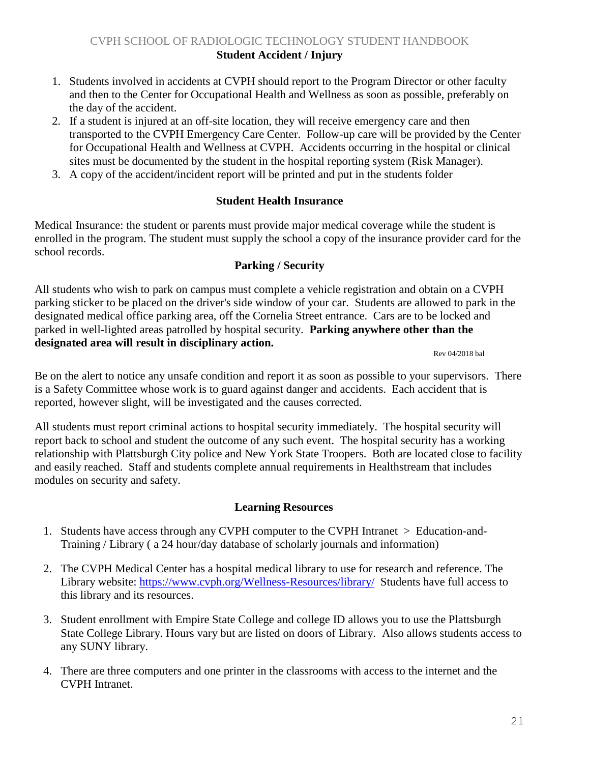#### CVPH SCHOOL OF RADIOLOGIC TECHNOLOGY STUDENT HANDBOOK **Student Accident / Injury**

- 1. Students involved in accidents at CVPH should report to the Program Director or other faculty and then to the Center for Occupational Health and Wellness as soon as possible, preferably on the day of the accident.
- 2. If a student is injured at an off-site location, they will receive emergency care and then transported to the CVPH Emergency Care Center. Follow-up care will be provided by the Center for Occupational Health and Wellness at CVPH. Accidents occurring in the hospital or clinical sites must be documented by the student in the hospital reporting system (Risk Manager).
- 3. A copy of the accident/incident report will be printed and put in the students folder

#### **Student Health Insurance**

Medical Insurance: the student or parents must provide major medical coverage while the student is enrolled in the program. The student must supply the school a copy of the insurance provider card for the school records.

#### **Parking / Security**

All students who wish to park on campus must complete a vehicle registration and obtain on a CVPH parking sticker to be placed on the driver's side window of your car. Students are allowed to park in the designated medical office parking area, off the Cornelia Street entrance. Cars are to be locked and parked in well-lighted areas patrolled by hospital security. **Parking anywhere other than the designated area will result in disciplinary action.**  $\frac{R}{2018}$  ball  $\frac{R}{2018}$  ball  $\frac{R}{2018}$  ball  $\frac{R}{2018}$  ball  $\frac{R}{2018}$  ball  $\frac{R}{2018}$  ball  $\frac{R}{2018}$  ball  $\frac{R}{2018}$  ball  $\frac{R}{2018}$  ball  $\frac{R}{2018}$  ball  $\frac{R}{2018}$  ball  $\frac{R}{2018}$  ball  $\frac{R$ 

Be on the alert to notice any unsafe condition and report it as soon as possible to your supervisors. There is a Safety Committee whose work is to guard against danger and accidents. Each accident that is reported, however slight, will be investigated and the causes corrected.

All students must report criminal actions to hospital security immediately. The hospital security will report back to school and student the outcome of any such event. The hospital security has a working relationship with Plattsburgh City police and New York State Troopers. Both are located close to facility and easily reached. Staff and students complete annual requirements in Healthstream that includes modules on security and safety.

#### **Learning Resources**

- 1. Students have access through any CVPH computer to the CVPH Intranet > Education-and-Training / Library ( a 24 hour/day database of scholarly journals and information)
- 2. The CVPH Medical Center has a hospital medical library to use for research and reference. The Library website:<https://www.cvph.org/Wellness-Resources/library/>Students have full access to this library and its resources.
- 3. Student enrollment with Empire State College and college ID allows you to use the Plattsburgh State College Library. Hours vary but are listed on doors of Library. Also allows students access to any SUNY library.
- 4. There are three computers and one printer in the classrooms with access to the internet and the CVPH Intranet.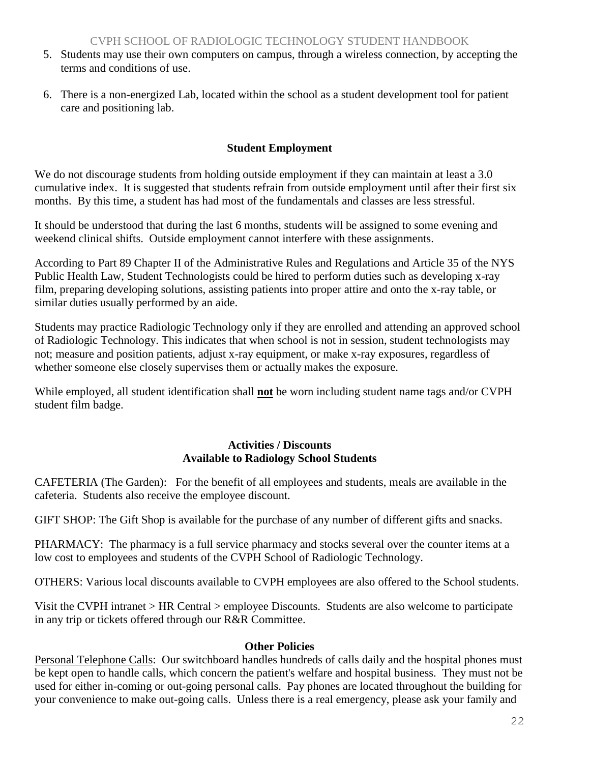- 5. Students may use their own computers on campus, through a wireless connection, by accepting the terms and conditions of use.
- 6. There is a non-energized Lab, located within the school as a student development tool for patient care and positioning lab.

## **Student Employment**

We do not discourage students from holding outside employment if they can maintain at least a 3.0 cumulative index. It is suggested that students refrain from outside employment until after their first six months. By this time, a student has had most of the fundamentals and classes are less stressful.

It should be understood that during the last 6 months, students will be assigned to some evening and weekend clinical shifts. Outside employment cannot interfere with these assignments.

According to Part 89 Chapter II of the Administrative Rules and Regulations and Article 35 of the NYS Public Health Law, Student Technologists could be hired to perform duties such as developing x-ray film, preparing developing solutions, assisting patients into proper attire and onto the x-ray table, or similar duties usually performed by an aide.

Students may practice Radiologic Technology only if they are enrolled and attending an approved school of Radiologic Technology. This indicates that when school is not in session, student technologists may not; measure and position patients, adjust x-ray equipment, or make x-ray exposures, regardless of whether someone else closely supervises them or actually makes the exposure.

While employed, all student identification shall **not** be worn including student name tags and/or CVPH student film badge.

#### **Activities / Discounts Available to Radiology School Students**

CAFETERIA (The Garden): For the benefit of all employees and students, meals are available in the cafeteria. Students also receive the employee discount.

GIFT SHOP: The Gift Shop is available for the purchase of any number of different gifts and snacks.

PHARMACY: The pharmacy is a full service pharmacy and stocks several over the counter items at a low cost to employees and students of the CVPH School of Radiologic Technology.

OTHERS: Various local discounts available to CVPH employees are also offered to the School students.

Visit the CVPH intranet > HR Central > employee Discounts. Students are also welcome to participate in any trip or tickets offered through our R&R Committee.

#### **Other Policies**

Personal Telephone Calls: Our switchboard handles hundreds of calls daily and the hospital phones must be kept open to handle calls, which concern the patient's welfare and hospital business. They must not be used for either in-coming or out-going personal calls. Pay phones are located throughout the building for your convenience to make out-going calls. Unless there is a real emergency, please ask your family and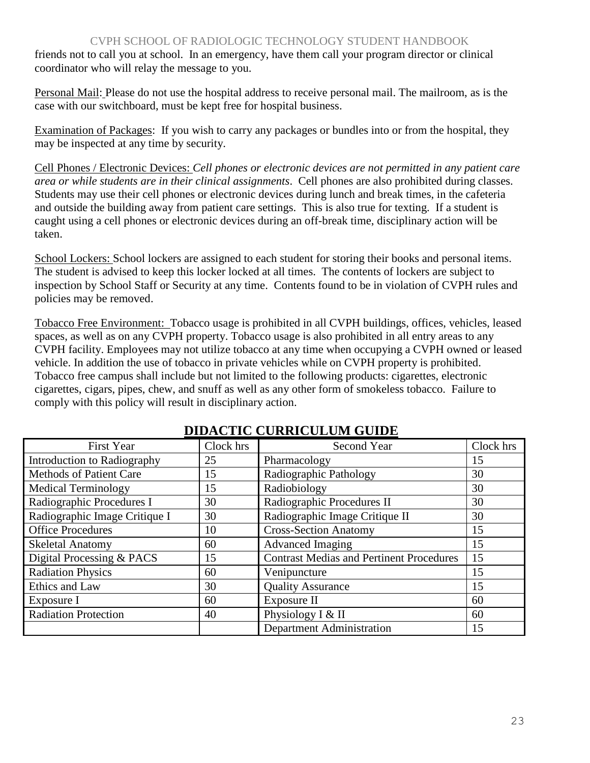friends not to call you at school. In an emergency, have them call your program director or clinical coordinator who will relay the message to you.

Personal Mail: Please do not use the hospital address to receive personal mail. The mailroom, as is the case with our switchboard, must be kept free for hospital business.

Examination of Packages: If you wish to carry any packages or bundles into or from the hospital, they may be inspected at any time by security.

Cell Phones / Electronic Devices: *Cell phones or electronic devices are not permitted in any patient care area or while students are in their clinical assignments*. Cell phones are also prohibited during classes. Students may use their cell phones or electronic devices during lunch and break times, in the cafeteria and outside the building away from patient care settings. This is also true for texting. If a student is caught using a cell phones or electronic devices during an off-break time, disciplinary action will be taken.

School Lockers: School lockers are assigned to each student for storing their books and personal items. The student is advised to keep this locker locked at all times. The contents of lockers are subject to inspection by School Staff or Security at any time. Contents found to be in violation of CVPH rules and policies may be removed.

Tobacco Free Environment: Tobacco usage is prohibited in all CVPH buildings, offices, vehicles, leased spaces, as well as on any CVPH property. Tobacco usage is also prohibited in all entry areas to any CVPH facility. Employees may not utilize tobacco at any time when occupying a CVPH owned or leased vehicle. In addition the use of tobacco in private vehicles while on CVPH property is prohibited. Tobacco free campus shall include but not limited to the following products: cigarettes, electronic cigarettes, cigars, pipes, chew, and snuff as well as any other form of smokeless tobacco. Failure to comply with this policy will result in disciplinary action.

| <b>First Year</b>              | Clock hrs | <b>Second Year</b>                              | Clock hrs |
|--------------------------------|-----------|-------------------------------------------------|-----------|
| Introduction to Radiography    | 25        | Pharmacology                                    | 15        |
| <b>Methods of Patient Care</b> | 15        | Radiographic Pathology                          | 30        |
| <b>Medical Terminology</b>     | 15        | Radiobiology                                    | 30        |
| Radiographic Procedures I      | 30        | Radiographic Procedures II                      | 30        |
| Radiographic Image Critique I  | 30        | Radiographic Image Critique II                  | 30        |
| <b>Office Procedures</b>       | 10        | <b>Cross-Section Anatomy</b>                    | 15        |
| <b>Skeletal Anatomy</b>        | 60        | <b>Advanced Imaging</b>                         | 15        |
| Digital Processing & PACS      | 15        | <b>Contrast Medias and Pertinent Procedures</b> | 15        |
| <b>Radiation Physics</b>       | 60        | Venipuncture                                    | 15        |
| Ethics and Law                 | 30        | <b>Quality Assurance</b>                        | 15        |
| Exposure I                     | 60        | Exposure II                                     | 60        |
| <b>Radiation Protection</b>    | 40        | Physiology I & II                               | 60        |
|                                |           | <b>Department Administration</b>                | 15        |

## **DIDACTIC CURRICULUM GUIDE**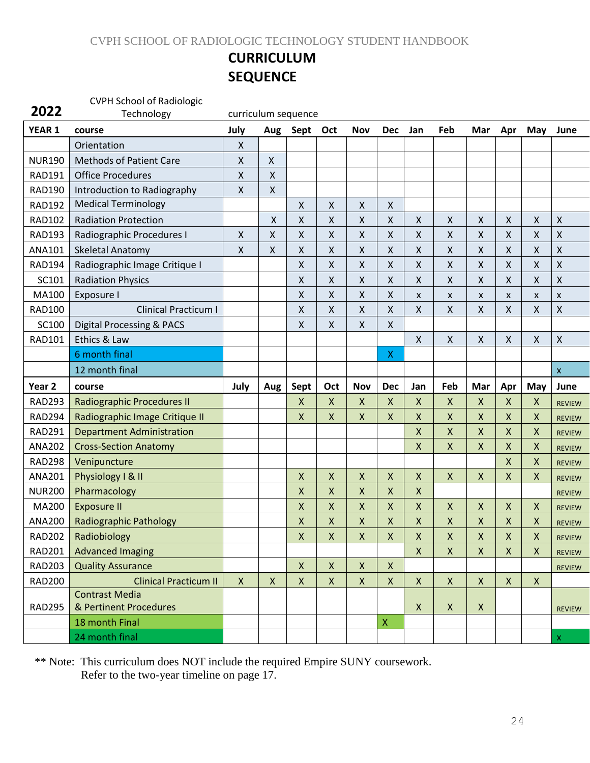# **CURRICULUM**

**SEQUENCE**

| <b>CVPH School of Radiologic</b> |  |
|----------------------------------|--|
|----------------------------------|--|

|                   | <b>JUNUAL OF MUDICIPLE</b>           |                           |                    |                    |                    |              |                    |                    |                           |                    |                           |                    |                           |
|-------------------|--------------------------------------|---------------------------|--------------------|--------------------|--------------------|--------------|--------------------|--------------------|---------------------------|--------------------|---------------------------|--------------------|---------------------------|
| 2022              | Technology                           | curriculum sequence       |                    |                    |                    |              |                    |                    |                           |                    |                           |                    |                           |
| YEAR <sub>1</sub> | course                               | July                      |                    | Aug Sept           | Oct                | <b>Nov</b>   | <b>Dec</b>         | Jan                | Feb                       | Mar                | Apr                       | May                | June                      |
|                   | Orientation                          | $\mathsf{X}$              |                    |                    |                    |              |                    |                    |                           |                    |                           |                    |                           |
| <b>NUR190</b>     | <b>Methods of Patient Care</b>       | $\mathsf{X}$              | X                  |                    |                    |              |                    |                    |                           |                    |                           |                    |                           |
| <b>RAD191</b>     | <b>Office Procedures</b>             | $\boldsymbol{\mathsf{X}}$ | X                  |                    |                    |              |                    |                    |                           |                    |                           |                    |                           |
| <b>RAD190</b>     | Introduction to Radiography          | $\pmb{\chi}$              | $\mathsf{x}$       |                    |                    |              |                    |                    |                           |                    |                           |                    |                           |
| <b>RAD192</b>     | <b>Medical Terminology</b>           |                           |                    | X                  | X                  | X            | $\pmb{\mathsf{X}}$ |                    |                           |                    |                           |                    |                           |
| <b>RAD102</b>     | <b>Radiation Protection</b>          |                           | Χ                  | $\pmb{\mathsf{X}}$ | $\mathsf{X}$       | Χ            | Χ                  | $\mathsf{X}$       | $\mathsf{X}$              | X                  | $\boldsymbol{\mathsf{X}}$ | $\pmb{\mathsf{X}}$ | $\mathsf{X}$              |
| <b>RAD193</b>     | Radiographic Procedures I            | $\mathsf{X}$              | Χ                  | Χ                  | $\mathsf{X}$       | Χ            | Χ                  | X                  | $\mathsf{X}$              | X                  | $\mathsf{X}$              | $\mathsf{X}$       | $\sf X$                   |
| ANA101            | Skeletal Anatomy                     | X                         | $\pmb{\mathsf{X}}$ | Χ                  | Χ                  | X            | Χ                  | Χ                  | $\mathsf{X}$              | Χ                  | $\boldsymbol{\mathsf{X}}$ | Χ                  | $\boldsymbol{\mathsf{X}}$ |
| <b>RAD194</b>     | Radiographic Image Critique I        |                           |                    | X                  | X                  | X            | Χ                  | $\mathsf{X}$       | $\mathsf{X}$              | X                  | $\mathsf{X}$              | X                  | $\mathsf{\chi}$           |
| SC101             | <b>Radiation Physics</b>             |                           |                    | Χ                  | Χ                  | X            | Χ                  | Χ                  | $\boldsymbol{\mathsf{X}}$ | X                  | $\mathsf{X}$              | $\pmb{\mathsf{X}}$ | X                         |
| MA100             | Exposure I                           |                           |                    | Χ                  | Χ                  | Χ            | Χ                  | X                  | $\boldsymbol{\mathsf{x}}$ | X                  | X                         | X                  | X                         |
| <b>RAD100</b>     | <b>Clinical Practicum I</b>          |                           |                    | $\pmb{\chi}$       | $\mathsf{x}$       | X            | Χ                  | $\mathsf{X}$       | $\boldsymbol{\mathsf{X}}$ | Χ                  | $\mathsf{X}$              | $\mathsf{X}$       | $\boldsymbol{\mathsf{X}}$ |
| SC100             | <b>Digital Processing &amp; PACS</b> |                           |                    | X                  | Χ                  | Χ            | Χ                  |                    |                           |                    |                           |                    |                           |
| <b>RAD101</b>     | Ethics & Law                         |                           |                    |                    |                    |              |                    | $\mathsf{X}$       | $\mathsf{X}$              | $\mathsf{X}$       | $\mathsf{X}$              | $\mathsf{X}$       | $\mathsf{X}$              |
|                   | 6 month final                        |                           |                    |                    |                    |              | X                  |                    |                           |                    |                           |                    |                           |
|                   | 12 month final                       |                           |                    |                    |                    |              |                    |                    |                           |                    |                           |                    | $\mathsf{x}$              |
|                   |                                      |                           |                    |                    |                    |              |                    |                    |                           |                    |                           |                    |                           |
| Year <sub>2</sub> | course                               | July                      | Aug                | Sept               | Oct                | <b>Nov</b>   | <b>Dec</b>         | Jan                | Feb                       | Mar                | Apr                       | May                | June                      |
| <b>RAD293</b>     | <b>Radiographic Procedures II</b>    |                           |                    | X                  | $\mathsf{X}$       | X            | X                  | $\pmb{\mathsf{X}}$ | $\boldsymbol{X}$          | $\mathsf{X}$       | $\boldsymbol{\mathsf{X}}$ | $\pmb{\mathsf{X}}$ | <b>REVIEW</b>             |
| <b>RAD294</b>     | Radiographic Image Critique II       |                           |                    | Χ                  | $\pmb{\mathsf{X}}$ | Χ            | X                  | X                  | $\mathsf{\chi}$           | $\mathsf{X}$       | $\pmb{\mathsf{X}}$        | $\pmb{\mathsf{X}}$ | <b>REVIEW</b>             |
| <b>RAD291</b>     | <b>Department Administration</b>     |                           |                    |                    |                    |              |                    | Χ                  | $\mathsf{X}$              | X                  | $\mathsf{X}$              | $\mathsf{X}$       | <b>REVIEW</b>             |
| <b>ANA202</b>     | <b>Cross-Section Anatomy</b>         |                           |                    |                    |                    |              |                    | Χ                  | $\boldsymbol{\mathsf{X}}$ | X                  | $\pmb{\mathsf{X}}$        | $\pmb{\mathsf{X}}$ | <b>REVIEW</b>             |
| <b>RAD298</b>     | Venipuncture                         |                           |                    |                    |                    |              |                    |                    |                           |                    | $\pmb{\mathsf{X}}$        | $\pmb{\mathsf{X}}$ | <b>REVIEW</b>             |
| <b>ANA201</b>     | Physiology I & II                    |                           |                    | Χ                  | $\mathsf{X}$       | Χ            | Χ                  | $\pmb{\mathsf{X}}$ | $\pmb{\mathsf{X}}$        | $\pmb{\mathsf{X}}$ | $\pmb{\mathsf{X}}$        | $\pmb{\mathsf{X}}$ | <b>REVIEW</b>             |
| <b>NUR200</b>     | Pharmacology                         |                           |                    | Χ                  | X                  | X            | Χ                  | X                  |                           |                    |                           |                    | <b>REVIEW</b>             |
| MA200             | <b>Exposure II</b>                   |                           |                    | X                  | $\mathsf{x}$       | X            | X                  | X                  | $\mathsf{X}$              | X                  | $\boldsymbol{\mathsf{X}}$ | $\pmb{\mathsf{X}}$ | <b>REVIEW</b>             |
| ANA200            | Radiographic Pathology               |                           |                    | Χ                  | Χ                  | Χ            | Χ                  | Χ                  | $\pmb{\mathsf{X}}$        | Χ                  | $\pmb{\mathsf{X}}$        | X                  | <b>REVIEW</b>             |
| <b>RAD202</b>     | Radiobiology                         |                           |                    | $\pmb{\mathsf{X}}$ | $\pmb{\mathsf{X}}$ | X            | X                  | X                  | X                         | X                  | X                         | $\pmb{\mathsf{X}}$ | <b>REVIEW</b>             |
| <b>RAD201</b>     | <b>Advanced Imaging</b>              |                           |                    |                    |                    |              |                    | $\mathsf{X}$       | $\mathsf{X}$              | X                  | $\mathsf{X}$              | $\mathsf{X}$       | <b>REVIEW</b>             |
| <b>RAD203</b>     | <b>Quality Assurance</b>             |                           |                    | $\mathsf{X}$       | $\mathsf{X}$       | $\mathsf{X}$ | $\mathsf{X}$       |                    |                           |                    |                           |                    | REVIEW                    |
| <b>RAD200</b>     | <b>Clinical Practicum II</b>         | X                         | $\pmb{\times}$     | $\mathsf{X}$       | $\mathsf{X}$       | $\mathsf{X}$ | $\mathsf{X}$       | $\mathsf X$        | $\mathsf X$               | $\mathsf{X}$       | $\mathsf{X}$              | $\mathsf{X}$       |                           |
|                   | <b>Contrast Media</b>                |                           |                    |                    |                    |              |                    |                    |                           |                    |                           |                    |                           |
| <b>RAD295</b>     | & Pertinent Procedures               |                           |                    |                    |                    |              |                    | $\mathsf{X}$       | $\pmb{\times}$            | $\pmb{\mathsf{X}}$ |                           |                    | <b>REVIEW</b>             |
|                   | 18 month Final<br>24 month final     |                           |                    |                    |                    |              | $\mathsf X$        |                    |                           |                    |                           |                    |                           |

\*\* Note: This curriculum does NOT include the required Empire SUNY coursework. Refer to the two-year timeline on page 17.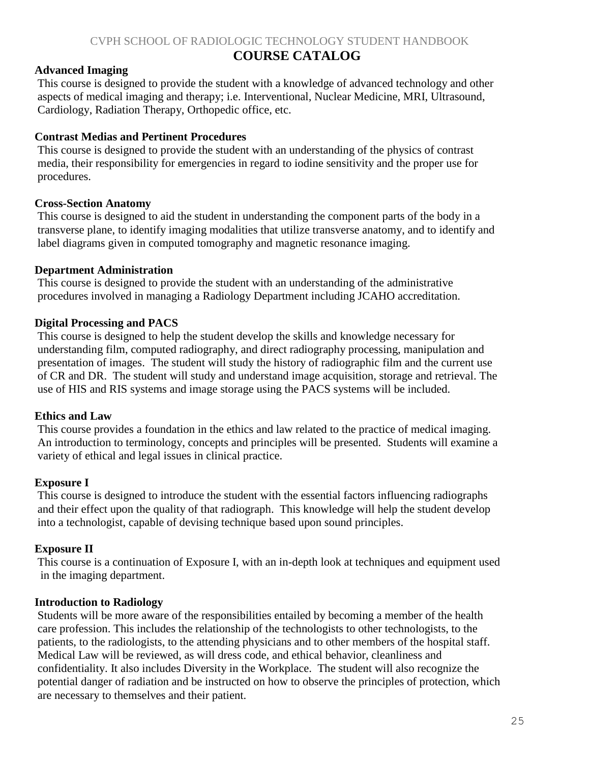## **COURSE CATALOG**

#### **Advanced Imaging**

This course is designed to provide the student with a knowledge of advanced technology and other aspects of medical imaging and therapy; i.e. Interventional, Nuclear Medicine, MRI, Ultrasound, Cardiology, Radiation Therapy, Orthopedic office, etc.

#### **Contrast Medias and Pertinent Procedures**

This course is designed to provide the student with an understanding of the physics of contrast media, their responsibility for emergencies in regard to iodine sensitivity and the proper use for procedures.

#### **Cross-Section Anatomy**

This course is designed to aid the student in understanding the component parts of the body in a transverse plane, to identify imaging modalities that utilize transverse anatomy, and to identify and label diagrams given in computed tomography and magnetic resonance imaging.

#### **Department Administration**

This course is designed to provide the student with an understanding of the administrative procedures involved in managing a Radiology Department including JCAHO accreditation.

#### **Digital Processing and PACS**

This course is designed to help the student develop the skills and knowledge necessary for understanding film, computed radiography, and direct radiography processing, manipulation and presentation of images. The student will study the history of radiographic film and the current use of CR and DR. The student will study and understand image acquisition, storage and retrieval. The use of HIS and RIS systems and image storage using the PACS systems will be included.

#### **Ethics and Law**

This course provides a foundation in the ethics and law related to the practice of medical imaging. An introduction to terminology, concepts and principles will be presented. Students will examine a variety of ethical and legal issues in clinical practice.

#### **Exposure I**

This course is designed to introduce the student with the essential factors influencing radiographs and their effect upon the quality of that radiograph. This knowledge will help the student develop into a technologist, capable of devising technique based upon sound principles.

#### **Exposure II**

This course is a continuation of Exposure I, with an in-depth look at techniques and equipment used in the imaging department.

#### **Introduction to Radiology**

Students will be more aware of the responsibilities entailed by becoming a member of the health care profession. This includes the relationship of the technologists to other technologists, to the patients, to the radiologists, to the attending physicians and to other members of the hospital staff. Medical Law will be reviewed, as will dress code, and ethical behavior, cleanliness and confidentiality. It also includes Diversity in the Workplace. The student will also recognize the potential danger of radiation and be instructed on how to observe the principles of protection, which are necessary to themselves and their patient.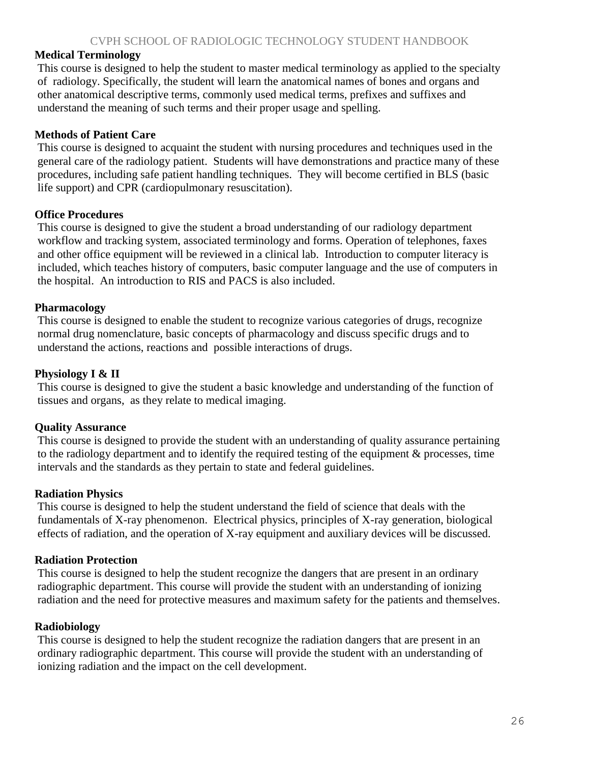#### **Medical Terminology**

This course is designed to help the student to master medical terminology as applied to the specialty of radiology. Specifically, the student will learn the anatomical names of bones and organs and other anatomical descriptive terms, commonly used medical terms, prefixes and suffixes and understand the meaning of such terms and their proper usage and spelling.

#### **Methods of Patient Care**

This course is designed to acquaint the student with nursing procedures and techniques used in the general care of the radiology patient. Students will have demonstrations and practice many of these procedures, including safe patient handling techniques. They will become certified in BLS (basic life support) and CPR (cardiopulmonary resuscitation).

#### **Office Procedures**

This course is designed to give the student a broad understanding of our radiology department workflow and tracking system, associated terminology and forms. Operation of telephones, faxes and other office equipment will be reviewed in a clinical lab. Introduction to computer literacy is included, which teaches history of computers, basic computer language and the use of computers in the hospital. An introduction to RIS and PACS is also included.

#### **Pharmacology**

This course is designed to enable the student to recognize various categories of drugs, recognize normal drug nomenclature, basic concepts of pharmacology and discuss specific drugs and to understand the actions, reactions and possible interactions of drugs.

#### **Physiology I & II**

This course is designed to give the student a basic knowledge and understanding of the function of tissues and organs, as they relate to medical imaging.

#### **Quality Assurance**

This course is designed to provide the student with an understanding of quality assurance pertaining to the radiology department and to identify the required testing of the equipment & processes, time intervals and the standards as they pertain to state and federal guidelines.

#### **Radiation Physics**

This course is designed to help the student understand the field of science that deals with the fundamentals of X-ray phenomenon. Electrical physics, principles of X-ray generation, biological effects of radiation, and the operation of X-ray equipment and auxiliary devices will be discussed.

#### **Radiation Protection**

This course is designed to help the student recognize the dangers that are present in an ordinary radiographic department. This course will provide the student with an understanding of ionizing radiation and the need for protective measures and maximum safety for the patients and themselves.

#### **Radiobiology**

This course is designed to help the student recognize the radiation dangers that are present in an ordinary radiographic department. This course will provide the student with an understanding of ionizing radiation and the impact on the cell development.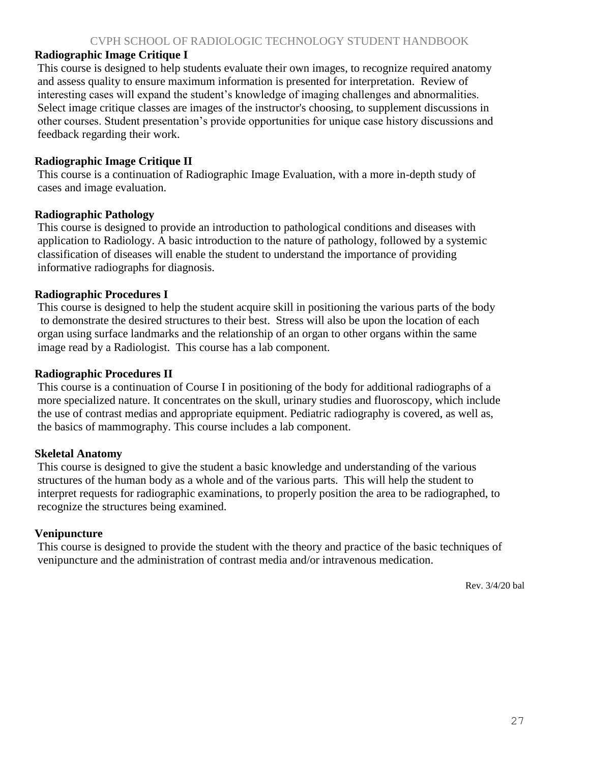#### **Radiographic Image Critique I**

This course is designed to help students evaluate their own images, to recognize required anatomy and assess quality to ensure maximum information is presented for interpretation. Review of interesting cases will expand the student's knowledge of imaging challenges and abnormalities. Select image critique classes are images of the instructor's choosing, to supplement discussions in other courses. Student presentation's provide opportunities for unique case history discussions and feedback regarding their work.

#### **Radiographic Image Critique II**

This course is a continuation of Radiographic Image Evaluation, with a more in-depth study of cases and image evaluation.

#### **Radiographic Pathology**

This course is designed to provide an introduction to pathological conditions and diseases with application to Radiology. A basic introduction to the nature of pathology, followed by a systemic classification of diseases will enable the student to understand the importance of providing informative radiographs for diagnosis.

#### **Radiographic Procedures I**

This course is designed to help the student acquire skill in positioning the various parts of the body to demonstrate the desired structures to their best. Stress will also be upon the location of each organ using surface landmarks and the relationship of an organ to other organs within the same image read by a Radiologist. This course has a lab component.

#### **Radiographic Procedures II**

This course is a continuation of Course I in positioning of the body for additional radiographs of a more specialized nature. It concentrates on the skull, urinary studies and fluoroscopy, which include the use of contrast medias and appropriate equipment. Pediatric radiography is covered, as well as, the basics of mammography. This course includes a lab component.

#### **Skeletal Anatomy**

This course is designed to give the student a basic knowledge and understanding of the various structures of the human body as a whole and of the various parts. This will help the student to interpret requests for radiographic examinations, to properly position the area to be radiographed, to recognize the structures being examined.

#### **Venipuncture**

This course is designed to provide the student with the theory and practice of the basic techniques of venipuncture and the administration of contrast media and/or intravenous medication.

Rev. 3/4/20 bal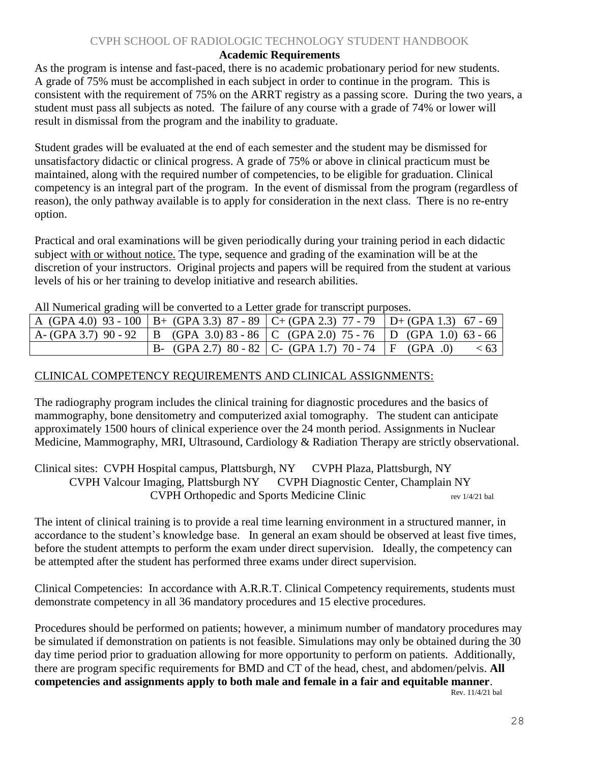#### **Academic Requirements**

As the program is intense and fast-paced, there is no academic probationary period for new students. A grade of 75% must be accomplished in each subject in order to continue in the program. This is consistent with the requirement of 75% on the ARRT registry as a passing score. During the two years, a student must pass all subjects as noted. The failure of any course with a grade of 74% or lower will result in dismissal from the program and the inability to graduate.

Student grades will be evaluated at the end of each semester and the student may be dismissed for unsatisfactory didactic or clinical progress. A grade of 75% or above in clinical practicum must be maintained, along with the required number of competencies, to be eligible for graduation. Clinical competency is an integral part of the program. In the event of dismissal from the program (regardless of reason), the only pathway available is to apply for consideration in the next class. There is no re-entry option.

Practical and oral examinations will be given periodically during your training period in each didactic subject with or without notice. The type, sequence and grading of the examination will be at the discretion of your instructors. Original projects and papers will be required from the student at various levels of his or her training to develop initiative and research abilities.

| All Numerical grading will be converted to a Letter grade for transcript purposes. |  |                                                                                           |           |  |  |  |
|------------------------------------------------------------------------------------|--|-------------------------------------------------------------------------------------------|-----------|--|--|--|
|                                                                                    |  | A (GPA 4.0) 93 - 100   B+ (GPA 3.3) 87 - 89   C+ (GPA 2.3) 77 - 79   D+ (GPA 1.3) 67 - 69 |           |  |  |  |
|                                                                                    |  | A- (GPA 3.7) 90 - 92   B (GPA 3.0) 83 - 86   C (GPA 2.0) 75 - 76   D (GPA 1.0) 63 - 66    |           |  |  |  |
|                                                                                    |  | B- (GPA 2.7) 80 - 82   C- (GPA 1.7) 70 - 74   F (GPA .0)                                  | $\leq 63$ |  |  |  |

All Numerical grading will be converted to a Letter grade for transcript purposes.

#### CLINICAL COMPETENCY REQUIREMENTS AND CLINICAL ASSIGNMENTS:

The radiography program includes the clinical training for diagnostic procedures and the basics of mammography, bone densitometry and computerized axial tomography. The student can anticipate approximately 1500 hours of clinical experience over the 24 month period. Assignments in Nuclear Medicine, Mammography, MRI, Ultrasound, Cardiology & Radiation Therapy are strictly observational.

Clinical sites: CVPH Hospital campus, Plattsburgh, NY CVPH Plaza, Plattsburgh, NY CVPH Valcour Imaging, Plattsburgh NY CVPH Diagnostic Center, Champlain NY CVPH Orthopedic and Sports Medicine Clinic rev 1/4/21 bal

The intent of clinical training is to provide a real time learning environment in a structured manner, in accordance to the student's knowledge base. In general an exam should be observed at least five times, before the student attempts to perform the exam under direct supervision. Ideally, the competency can be attempted after the student has performed three exams under direct supervision.

Clinical Competencies: In accordance with A.R.R.T. Clinical Competency requirements, students must demonstrate competency in all 36 mandatory procedures and 15 elective procedures.

Procedures should be performed on patients; however, a minimum number of mandatory procedures may be simulated if demonstration on patients is not feasible. Simulations may only be obtained during the 30 day time period prior to graduation allowing for more opportunity to perform on patients. Additionally, there are program specific requirements for BMD and CT of the head, chest, and abdomen/pelvis. **All competencies and assignments apply to both male and female in a fair and equitable manner**. Rev. 11/4/21 bal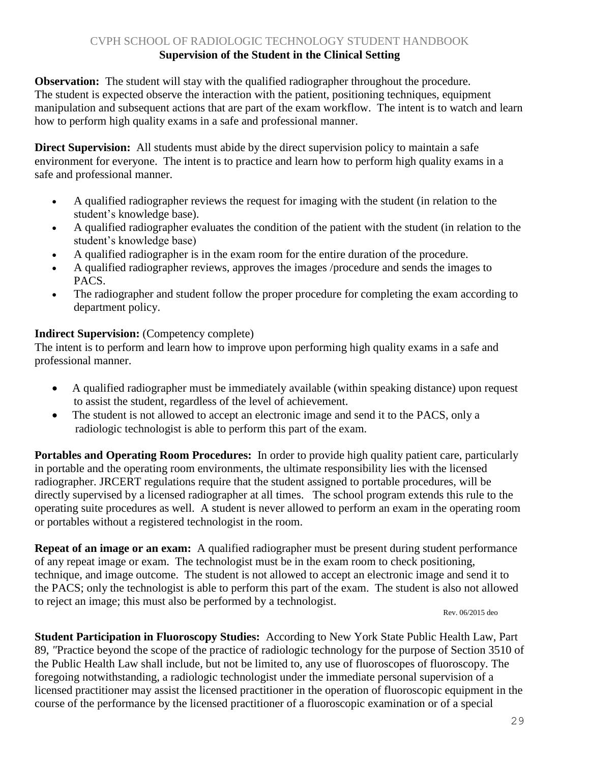#### **Supervision of the Student in the Clinical Setting**

**Observation:** The student will stay with the qualified radiographer throughout the procedure. The student is expected observe the interaction with the patient, positioning techniques, equipment manipulation and subsequent actions that are part of the exam workflow. The intent is to watch and learn how to perform high quality exams in a safe and professional manner.

**Direct Supervision:** All students must abide by the direct supervision policy to maintain a safe environment for everyone. The intent is to practice and learn how to perform high quality exams in a safe and professional manner.

- A qualified radiographer reviews the request for imaging with the student (in relation to the student's knowledge base).
- A qualified radiographer evaluates the condition of the patient with the student (in relation to the student's knowledge base)
- A qualified radiographer is in the exam room for the entire duration of the procedure.
- A qualified radiographer reviews, approves the images /procedure and sends the images to PACS.
- The radiographer and student follow the proper procedure for completing the exam according to department policy.

#### **Indirect Supervision:** (Competency complete)

The intent is to perform and learn how to improve upon performing high quality exams in a safe and professional manner.

- A qualified radiographer must be immediately available (within speaking distance) upon request to assist the student, regardless of the level of achievement.
- The student is not allowed to accept an electronic image and send it to the PACS, only a radiologic technologist is able to perform this part of the exam.

**Portables and Operating Room Procedures:** In order to provide high quality patient care, particularly in portable and the operating room environments, the ultimate responsibility lies with the licensed radiographer. JRCERT regulations require that the student assigned to portable procedures, will be directly supervised by a licensed radiographer at all times. The school program extends this rule to the operating suite procedures as well. A student is never allowed to perform an exam in the operating room or portables without a registered technologist in the room.

**Repeat of an image or an exam:** A qualified radiographer must be present during student performance of any repeat image or exam. The technologist must be in the exam room to check positioning, technique, and image outcome. The student is not allowed to accept an electronic image and send it to the PACS; only the technologist is able to perform this part of the exam. The student is also not allowed to reject an image; this must also be performed by a technologist.

Rev. 06/2015 deo

**Student Participation in Fluoroscopy Studies:** According to New York State Public Health Law, Part 89, *"*Practice beyond the scope of the practice of radiologic technology for the purpose of Section 3510 of the Public Health Law shall include, but not be limited to, any use of fluoroscopes of fluoroscopy. The foregoing notwithstanding, a radiologic technologist under the immediate personal supervision of a licensed practitioner may assist the licensed practitioner in the operation of fluoroscopic equipment in the course of the performance by the licensed practitioner of a fluoroscopic examination or of a special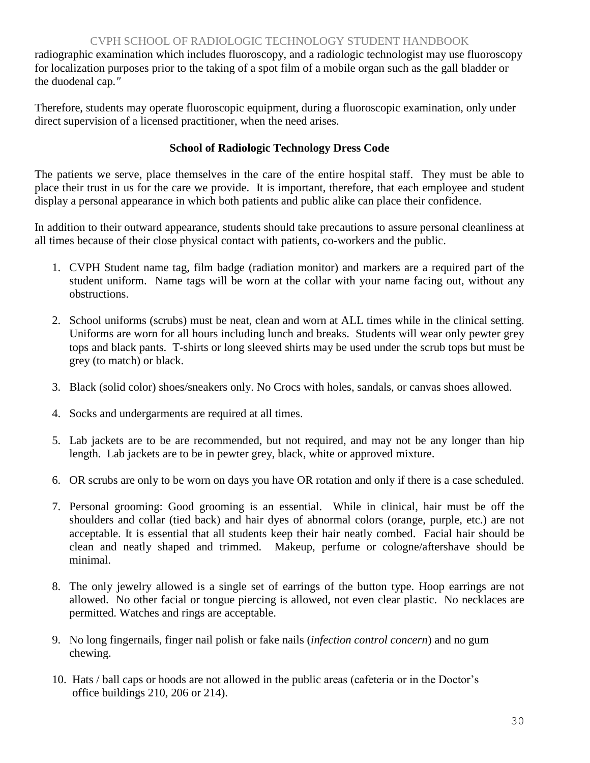radiographic examination which includes fluoroscopy, and a radiologic technologist may use fluoroscopy for localization purposes prior to the taking of a spot film of a mobile organ such as the gall bladder or the duodenal cap*."*

Therefore, students may operate fluoroscopic equipment, during a fluoroscopic examination, only under direct supervision of a licensed practitioner, when the need arises.

### **School of Radiologic Technology Dress Code**

The patients we serve, place themselves in the care of the entire hospital staff. They must be able to place their trust in us for the care we provide. It is important, therefore, that each employee and student display a personal appearance in which both patients and public alike can place their confidence.

In addition to their outward appearance, students should take precautions to assure personal cleanliness at all times because of their close physical contact with patients, co-workers and the public.

- 1. CVPH Student name tag, film badge (radiation monitor) and markers are a required part of the student uniform. Name tags will be worn at the collar with your name facing out, without any obstructions.
- 2. School uniforms (scrubs) must be neat, clean and worn at ALL times while in the clinical setting. Uniforms are worn for all hours including lunch and breaks. Students will wear only pewter grey tops and black pants. T-shirts or long sleeved shirts may be used under the scrub tops but must be grey (to match) or black.
- 3. Black (solid color) shoes/sneakers only. No Crocs with holes, sandals, or canvas shoes allowed.
- 4. Socks and undergarments are required at all times.
- 5. Lab jackets are to be are recommended, but not required, and may not be any longer than hip length. Lab jackets are to be in pewter grey, black, white or approved mixture.
- 6. OR scrubs are only to be worn on days you have OR rotation and only if there is a case scheduled.
- 7. Personal grooming: Good grooming is an essential. While in clinical, hair must be off the shoulders and collar (tied back) and hair dyes of abnormal colors (orange, purple, etc.) are not acceptable. It is essential that all students keep their hair neatly combed. Facial hair should be clean and neatly shaped and trimmed. Makeup, perfume or cologne/aftershave should be minimal.
- 8. The only jewelry allowed is a single set of earrings of the button type. Hoop earrings are not allowed. No other facial or tongue piercing is allowed, not even clear plastic. No necklaces are permitted. Watches and rings are acceptable.
- 9. No long fingernails, finger nail polish or fake nails (*infection control concern*) and no gum chewing.
- 10. Hats / ball caps or hoods are not allowed in the public areas (cafeteria or in the Doctor's office buildings 210, 206 or 214).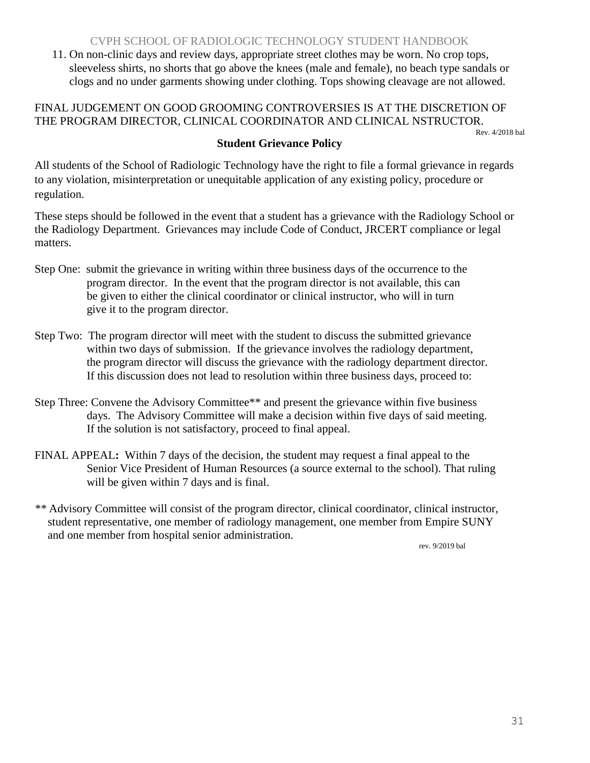11. On non-clinic days and review days, appropriate street clothes may be worn. No crop tops, sleeveless shirts, no shorts that go above the knees (male and female), no beach type sandals or clogs and no under garments showing under clothing. Tops showing cleavage are not allowed.

#### FINAL JUDGEMENT ON GOOD GROOMING CONTROVERSIES IS AT THE DISCRETION OF THE PROGRAM DIRECTOR, CLINICAL COORDINATOR AND CLINICAL NSTRUCTOR.

Rev. 4/2018 bal

#### **Student Grievance Policy**

All students of the School of Radiologic Technology have the right to file a formal grievance in regards to any violation, misinterpretation or unequitable application of any existing policy, procedure or regulation.

These steps should be followed in the event that a student has a grievance with the Radiology School or the Radiology Department. Grievances may include Code of Conduct, JRCERT compliance or legal matters.

- Step One: submit the grievance in writing within three business days of the occurrence to the program director. In the event that the program director is not available, this can be given to either the clinical coordinator or clinical instructor, who will in turn give it to the program director.
- Step Two: The program director will meet with the student to discuss the submitted grievance within two days of submission. If the grievance involves the radiology department, the program director will discuss the grievance with the radiology department director. If this discussion does not lead to resolution within three business days, proceed to:
- Step Three: Convene the Advisory Committee\*\* and present the grievance within five business days. The Advisory Committee will make a decision within five days of said meeting. If the solution is not satisfactory, proceed to final appeal.
- FINAL APPEAL**:** Within 7 days of the decision, the student may request a final appeal to the Senior Vice President of Human Resources (a source external to the school). That ruling will be given within 7 days and is final.
- *\*\** Advisory Committee will consist of the program director, clinical coordinator, clinical instructor, student representative, one member of radiology management, one member from Empire SUNY and one member from hospital senior administration.

rev. 9/2019 bal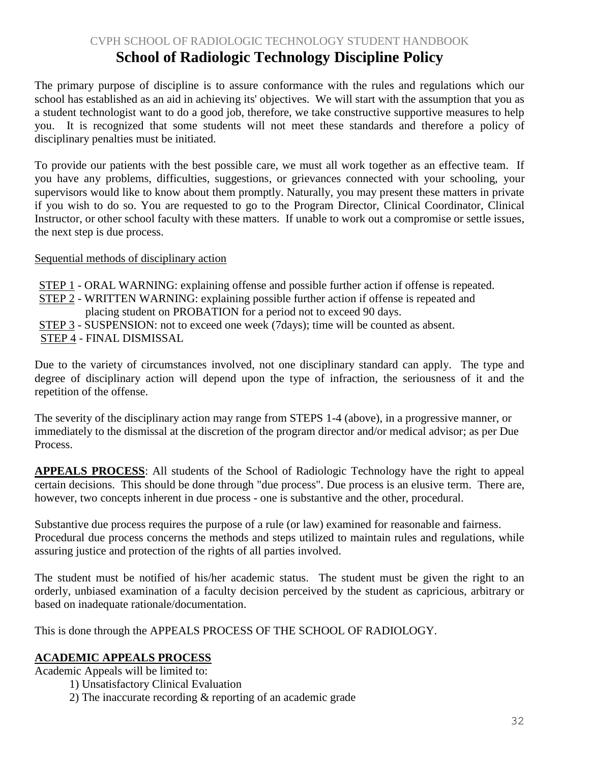## **School of Radiologic Technology Discipline Policy**

The primary purpose of discipline is to assure conformance with the rules and regulations which our school has established as an aid in achieving its' objectives.We will start with the assumption that you as a student technologist want to do a good job, therefore, we take constructive supportive measures to help you. It is recognized that some students will not meet these standards and therefore a policy of disciplinary penalties must be initiated.

To provide our patients with the best possible care, we must all work together as an effective team. If you have any problems, difficulties, suggestions, or grievances connected with your schooling, your supervisors would like to know about them promptly. Naturally, you may present these matters in private if you wish to do so. You are requested to go to the Program Director, Clinical Coordinator, Clinical Instructor, or other school faculty with these matters. If unable to work out a compromise or settle issues, the next step is due process.

#### Sequential methods of disciplinary action

STEP 1 - ORAL WARNING: explaining offense and possible further action if offense is repeated. STEP 2 - WRITTEN WARNING: explaining possible further action if offense is repeated and

placing student on PROBATION for a period not to exceed 90 days.

STEP 3 - SUSPENSION: not to exceed one week (7days); time will be counted as absent. STEP 4 - FINAL DISMISSAL

Due to the variety of circumstances involved, not one disciplinary standard can apply. The type and degree of disciplinary action will depend upon the type of infraction, the seriousness of it and the repetition of the offense.

The severity of the disciplinary action may range from STEPS 1-4 (above), in a progressive manner, or immediately to the dismissal at the discretion of the program director and/or medical advisor; as per Due Process.

**APPEALS PROCESS**: All students of the School of Radiologic Technology have the right to appeal certain decisions. This should be done through "due process". Due process is an elusive term. There are, however, two concepts inherent in due process - one is substantive and the other, procedural.

Substantive due process requires the purpose of a rule (or law) examined for reasonable and fairness. Procedural due process concerns the methods and steps utilized to maintain rules and regulations, while assuring justice and protection of the rights of all parties involved.

The student must be notified of his/her academic status. The student must be given the right to an orderly, unbiased examination of a faculty decision perceived by the student as capricious, arbitrary or based on inadequate rationale/documentation.

This is done through the APPEALS PROCESS OF THE SCHOOL OF RADIOLOGY.

#### **ACADEMIC APPEALS PROCESS**

Academic Appeals will be limited to:

- 1) Unsatisfactory Clinical Evaluation
- 2) The inaccurate recording & reporting of an academic grade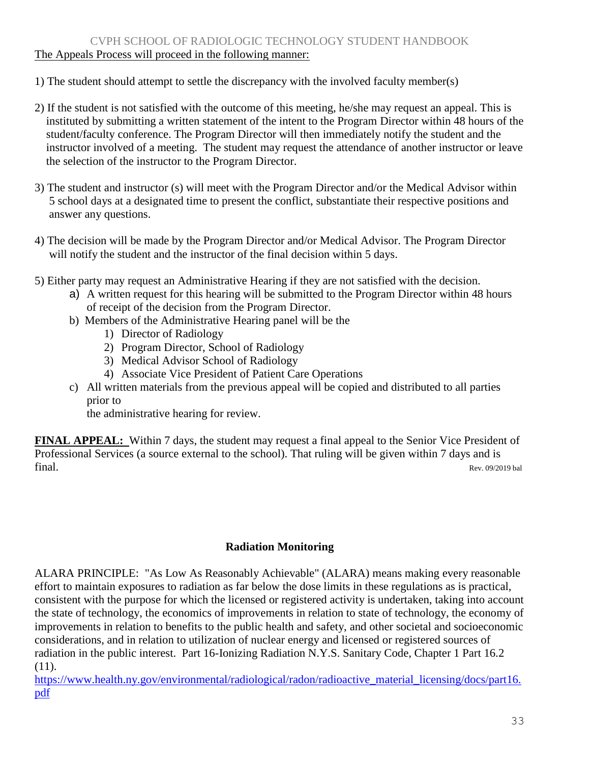## CVPH SCHOOL OF RADIOLOGIC TECHNOLOGY STUDENT HANDBOOK The Appeals Process will proceed in the following manner:

- 1) The student should attempt to settle the discrepancy with the involved faculty member(s)
- 2) If the student is not satisfied with the outcome of this meeting, he/she may request an appeal. This is instituted by submitting a written statement of the intent to the Program Director within 48 hours of the student/faculty conference. The Program Director will then immediately notify the student and the instructor involved of a meeting. The student may request the attendance of another instructor or leave the selection of the instructor to the Program Director.
- 3) The student and instructor (s) will meet with the Program Director and/or the Medical Advisor within 5 school days at a designated time to present the conflict, substantiate their respective positions and answer any questions.
- 4) The decision will be made by the Program Director and/or Medical Advisor. The Program Director will notify the student and the instructor of the final decision within 5 days.
- 5) Either party may request an Administrative Hearing if they are not satisfied with the decision.
	- a) A written request for this hearing will be submitted to the Program Director within 48 hours of receipt of the decision from the Program Director.
	- b) Members of the Administrative Hearing panel will be the
		- 1) Director of Radiology
		- 2) Program Director, School of Radiology
		- 3) Medical Advisor School of Radiology
		- 4) Associate Vice President of Patient Care Operations
	- c) All written materials from the previous appeal will be copied and distributed to all parties prior to

the administrative hearing for review.

**FINAL APPEAL:** Within 7 days, the student may request a final appeal to the Senior Vice President of Professional Services (a source external to the school). That ruling will be given within 7 days and is final. Rev. 09/2019 bal

#### **Radiation Monitoring**

ALARA PRINCIPLE: "As Low As Reasonably Achievable" (ALARA) means making every reasonable effort to maintain exposures to radiation as far below the dose limits in these regulations as is practical, consistent with the purpose for which the licensed or registered activity is undertaken, taking into account the state of technology, the economics of improvements in relation to state of technology, the economy of improvements in relation to benefits to the public health and safety, and other societal and socioeconomic considerations, and in relation to utilization of nuclear energy and licensed or registered sources of radiation in the public interest. Part 16-Ionizing Radiation N.Y.S. Sanitary Code, Chapter 1 Part 16.2 (11).

[https://www.health.ny.gov/environmental/radiological/radon/radioactive\\_material\\_licensing/docs/part16.](https://www.health.ny.gov/environmental/radiological/radon/radioactive_material_licensing/docs/part16.pdf) [pdf](https://www.health.ny.gov/environmental/radiological/radon/radioactive_material_licensing/docs/part16.pdf)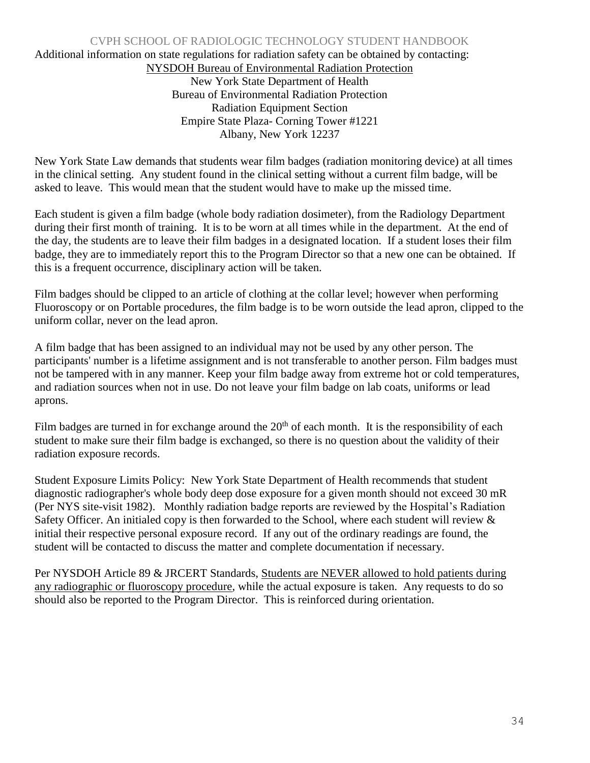#### CVPH SCHOOL OF RADIOLOGIC TECHNOLOGY STUDENT HANDBOOK Additional information on state regulations for radiation safety can be obtained by contacting: NYSDOH Bureau of Environmental Radiation Protection New York State Department of Health Bureau of Environmental Radiation Protection Radiation Equipment Section Empire State Plaza- Corning Tower #1221 Albany, New York 12237

New York State Law demands that students wear film badges (radiation monitoring device) at all times in the clinical setting. Any student found in the clinical setting without a current film badge, will be asked to leave. This would mean that the student would have to make up the missed time.

Each student is given a film badge (whole body radiation dosimeter), from the Radiology Department during their first month of training. It is to be worn at all times while in the department. At the end of the day, the students are to leave their film badges in a designated location. If a student loses their film badge, they are to immediately report this to the Program Director so that a new one can be obtained. If this is a frequent occurrence, disciplinary action will be taken.

Film badges should be clipped to an article of clothing at the collar level; however when performing Fluoroscopy or on Portable procedures, the film badge is to be worn outside the lead apron, clipped to the uniform collar, never on the lead apron.

A film badge that has been assigned to an individual may not be used by any other person. The participants' number is a lifetime assignment and is not transferable to another person. Film badges must not be tampered with in any manner. Keep your film badge away from extreme hot or cold temperatures, and radiation sources when not in use. Do not leave your film badge on lab coats, uniforms or lead aprons.

Film badges are turned in for exchange around the  $20<sup>th</sup>$  of each month. It is the responsibility of each student to make sure their film badge is exchanged, so there is no question about the validity of their radiation exposure records.

Student Exposure Limits Policy:New York State Department of Health recommends that student diagnostic radiographer's whole body deep dose exposure for a given month should not exceed 30 mR (Per NYS site-visit 1982). Monthly radiation badge reports are reviewed by the Hospital's Radiation Safety Officer. An initialed copy is then forwarded to the School, where each student will review  $\&$ initial their respective personal exposure record. If any out of the ordinary readings are found, the student will be contacted to discuss the matter and complete documentation if necessary.

Per NYSDOH Article 89 & JRCERT Standards, Students are NEVER allowed to hold patients during any radiographic or fluoroscopy procedure, while the actual exposure is taken. Any requests to do so should also be reported to the Program Director. This is reinforced during orientation.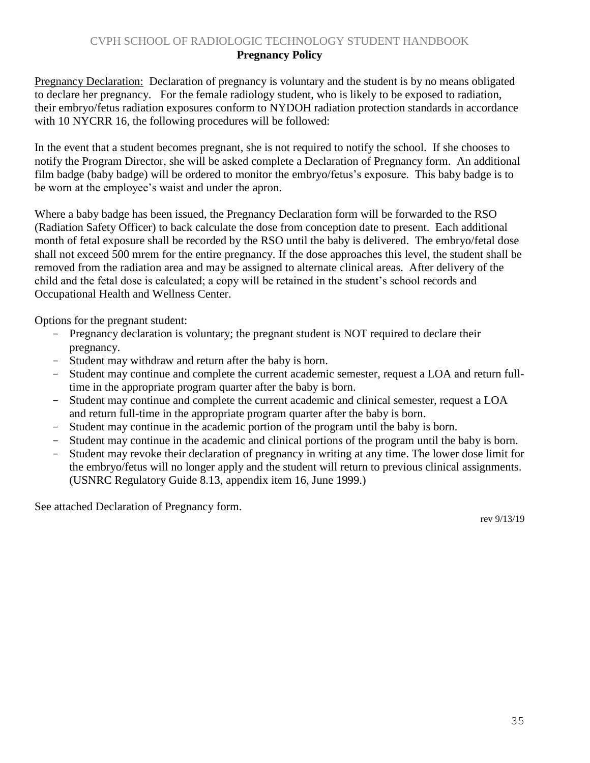**Pregnancy Policy**

Pregnancy Declaration: Declaration of pregnancy is voluntary and the student is by no means obligated to declare her pregnancy.For the female radiology student, who is likely to be exposed to radiation, their embryo/fetus radiation exposures conform to NYDOH radiation protection standards in accordance with 10 NYCRR 16, the following procedures will be followed:

In the event that a student becomes pregnant, she is not required to notify the school. If she chooses to notify the Program Director, she will be asked complete a Declaration of Pregnancy form. An additional film badge (baby badge) will be ordered to monitor the embryo/fetus's exposure. This baby badge is to be worn at the employee's waist and under the apron.

Where a baby badge has been issued, the Pregnancy Declaration form will be forwarded to the RSO (Radiation Safety Officer) to back calculate the dose from conception date to present. Each additional month of fetal exposure shall be recorded by the RSO until the baby is delivered. The embryo/fetal dose shall not exceed 500 mrem for the entire pregnancy. If the dose approaches this level, the student shall be removed from the radiation area and may be assigned to alternate clinical areas. After delivery of the child and the fetal dose is calculated; a copy will be retained in the student's school records and Occupational Health and Wellness Center.

Options for the pregnant student:

- Pregnancy declaration is voluntary; the pregnant student is NOT required to declare their pregnancy.
- Student may withdraw and return after the baby is born.
- Student may continue and complete the current academic semester, request a LOA and return fulltime in the appropriate program quarter after the baby is born.
- Student may continue and complete the current academic and clinical semester, request a LOA and return full-time in the appropriate program quarter after the baby is born.
- Student may continue in the academic portion of the program until the baby is born.
- Student may continue in the academic and clinical portions of the program until the baby is born.
- Student may revoke their declaration of pregnancy in writing at any time. The lower dose limit for the embryo/fetus will no longer apply and the student will return to previous clinical assignments. (USNRC Regulatory Guide 8.13, appendix item 16, June 1999.)

See attached Declaration of Pregnancy form.

rev 9/13/19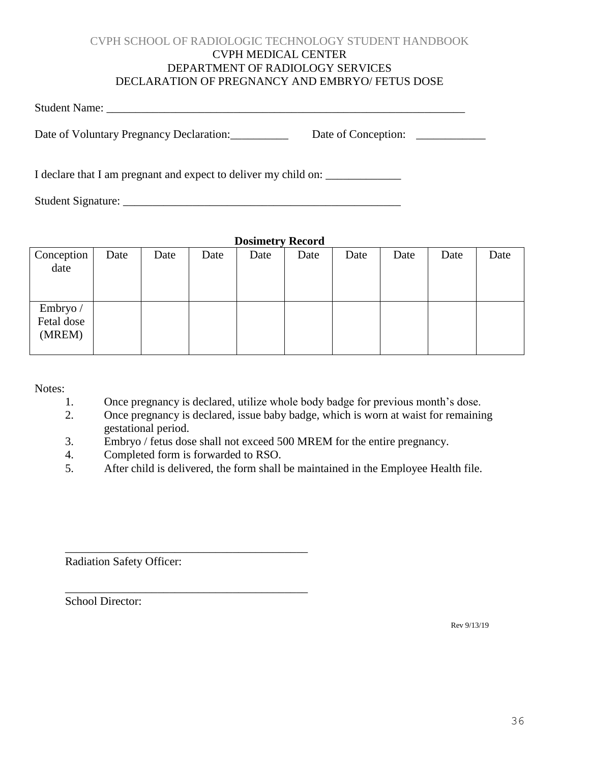#### CVPH SCHOOL OF RADIOLOGIC TECHNOLOGY STUDENT HANDBOOK CVPH MEDICAL CENTER DEPARTMENT OF RADIOLOGY SERVICES DECLARATION OF PREGNANCY AND EMBRYO/ FETUS DOSE

| <b>Student Name:</b>                     |                     |  |
|------------------------------------------|---------------------|--|
| Date of Voluntary Pregnancy Declaration: | Date of Conception: |  |

I declare that I am pregnant and expect to deliver my child on: \_\_\_\_\_\_\_\_\_\_\_\_\_\_\_\_

Student Signature: \_\_\_\_\_\_\_\_\_\_\_\_\_\_\_\_\_\_\_\_\_\_\_\_\_\_\_\_\_\_\_\_\_\_\_\_\_\_\_\_\_\_\_\_\_\_\_\_

| <b>Dosimetry Record</b> |      |      |      |      |      |      |      |      |      |  |  |
|-------------------------|------|------|------|------|------|------|------|------|------|--|--|
| Conception              | Date | Date | Date | Date | Date | Date | Date | Date | Date |  |  |
| date                    |      |      |      |      |      |      |      |      |      |  |  |
|                         |      |      |      |      |      |      |      |      |      |  |  |
|                         |      |      |      |      |      |      |      |      |      |  |  |
| Embryo /                |      |      |      |      |      |      |      |      |      |  |  |
| Fetal dose              |      |      |      |      |      |      |      |      |      |  |  |
| (MREM)                  |      |      |      |      |      |      |      |      |      |  |  |
|                         |      |      |      |      |      |      |      |      |      |  |  |

Notes:

- 1. Once pregnancy is declared, utilize whole body badge for previous month's dose.
- 2. Once pregnancy is declared, issue baby badge, which is worn at waist for remaining gestational period.
- 3. Embryo / fetus dose shall not exceed 500 MREM for the entire pregnancy.
- 4. Completed form is forwarded to RSO.

\_\_\_\_\_\_\_\_\_\_\_\_\_\_\_\_\_\_\_\_\_\_\_\_\_\_\_\_\_\_\_\_\_\_\_\_\_\_\_\_\_\_

5. After child is delivered, the form shall be maintained in the Employee Health file.

\_\_\_\_\_\_\_\_\_\_\_\_\_\_\_\_\_\_\_\_\_\_\_\_\_\_\_\_\_\_\_\_\_\_\_\_\_\_\_\_\_\_ Radiation Safety Officer:

School Director:

Rev 9/13/19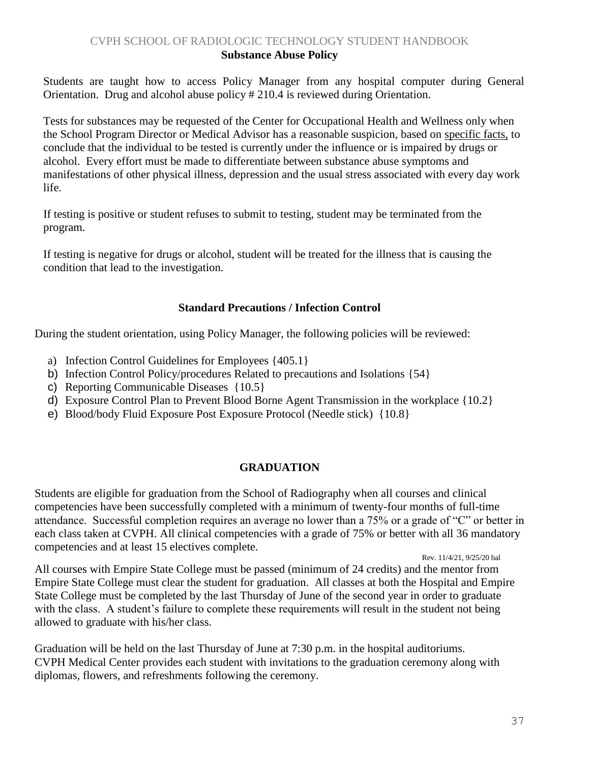#### **Substance Abuse Policy**

Students are taught how to access Policy Manager from any hospital computer during General Orientation. Drug and alcohol abuse policy # 210.4 is reviewed during Orientation.

Tests for substances may be requested of the Center for Occupational Health and Wellness only when the School Program Director or Medical Advisor has a reasonable suspicion, based on specific facts, to conclude that the individual to be tested is currently under the influence or is impaired by drugs or alcohol. Every effort must be made to differentiate between substance abuse symptoms and manifestations of other physical illness, depression and the usual stress associated with every day work life.

 If testing is positive or student refuses to submit to testing, student may be terminated from the program.

If testing is negative for drugs or alcohol, student will be treated for the illness that is causing the condition that lead to the investigation.

#### **Standard Precautions / Infection Control**

During the student orientation, using Policy Manager, the following policies will be reviewed:

- a) Infection Control Guidelines for Employees {405.1}
- b) Infection Control Policy/procedures Related to precautions and Isolations {54}
- c) Reporting Communicable Diseases {10.5}
- d) Exposure Control Plan to Prevent Blood Borne Agent Transmission in the workplace {10.2}
- e) Blood/body Fluid Exposure Post Exposure Protocol (Needle stick) {10.8}

#### **GRADUATION**

Students are eligible for graduation from the School of Radiography when all courses and clinical competencies have been successfully completed with a minimum of twenty-four months of full-time attendance. Successful completion requires an average no lower than a 75% or a grade of "C" or better in each class taken at CVPH. All clinical competencies with a grade of 75% or better with all 36 mandatory competencies and at least 15 electives complete.

 Rev. 11/4/21, 9/25/20 bal All courses with Empire State College must be passed (minimum of 24 credits) and the mentor from Empire State College must clear the student for graduation. All classes at both the Hospital and Empire State College must be completed by the last Thursday of June of the second year in order to graduate with the class. A student's failure to complete these requirements will result in the student not being allowed to graduate with his/her class.

Graduation will be held on the last Thursday of June at 7:30 p.m. in the hospital auditoriums. CVPH Medical Center provides each student with invitations to the graduation ceremony along with diplomas, flowers, and refreshments following the ceremony.